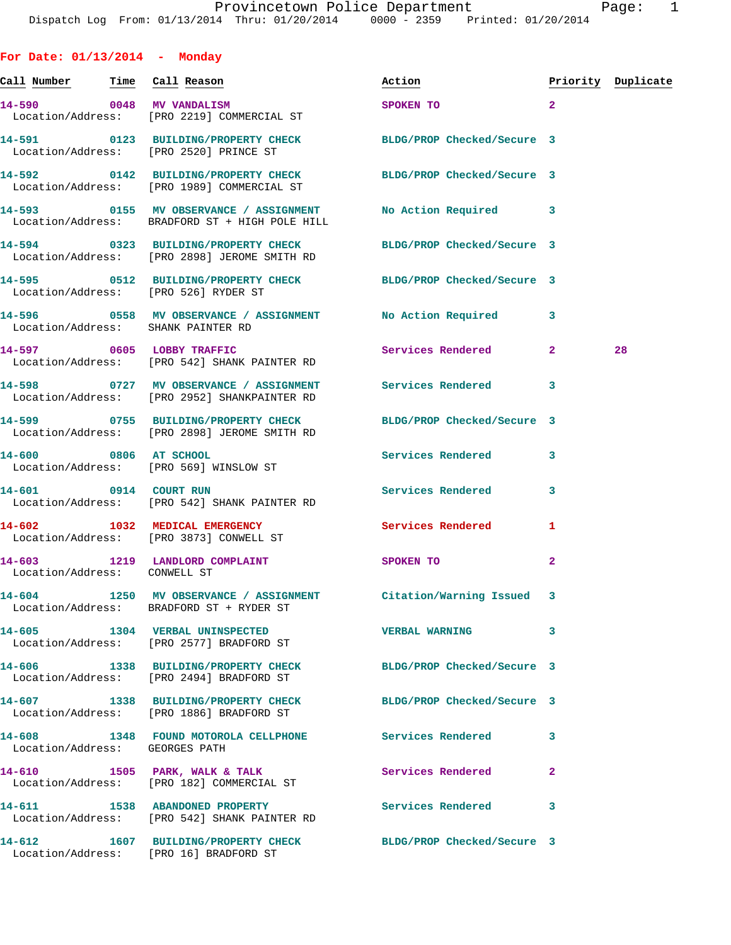**Call Number Time Call Reason Action Priority Duplicate 14-590 0048 MV VANDALISM SPOKEN TO 2**  Location/Address: [PRO 2219] COMMERCIAL ST **14-591 0123 BUILDING/PROPERTY CHECK BLDG/PROP Checked/Secure 3**  Location/Address: [PRO 2520] PRINCE ST **14-592 0142 BUILDING/PROPERTY CHECK BLDG/PROP Checked/Secure 3**  Location/Address: [PRO 1989] COMMERCIAL ST **14-593 0155 MV OBSERVANCE / ASSIGNMENT No Action Required 3**  Location/Address: BRADFORD ST + HIGH POLE HILL **14-594 0323 BUILDING/PROPERTY CHECK BLDG/PROP Checked/Secure 3**  Location/Address: [PRO 2898] JEROME SMITH RD **14-595 0512 BUILDING/PROPERTY CHECK BLDG/PROP Checked/Secure 3**  Location/Address: [PRO 526] RYDER ST **14-596 0558 MV OBSERVANCE / ASSIGNMENT No Action Required 3**  Location/Address: SHANK PAINTER RD **14-597 0605 LOBBY TRAFFIC Services Rendered 2 28**  Location/Address: [PRO 542] SHANK PAINTER RD **14-598 0727 MV OBSERVANCE / ASSIGNMENT Services Rendered 3**  Location/Address: [PRO 2952] SHANKPAINTER RD **14-599 0755 BUILDING/PROPERTY CHECK BLDG/PROP Checked/Secure 3**  Location/Address: [PRO 2898] JEROME SMITH RD **14-600 0806 AT SCHOOL Services Rendered 3**  Location/Address: [PRO 569] WINSLOW ST **14-601 0914 COURT RUN Services Rendered 3**  Location/Address: [PRO 542] SHANK PAINTER RD **14-602 1032 MEDICAL EMERGENCY Services Rendered 1**  Location/Address: [PRO 3873] CONWELL ST **14-603 1219 LANDLORD COMPLAINT SPOKEN TO 2**  Location/Address: CONWELL ST **14-604 1250 MV OBSERVANCE / ASSIGNMENT Citation/Warning Issued 3**  Location/Address: BRADFORD ST + RYDER ST **14-605 1304 VERBAL UNINSPECTED VERBAL WARNING 3**  Location/Address: [PRO 2577] BRADFORD ST **14-606 1338 BUILDING/PROPERTY CHECK BLDG/PROP Checked/Secure 3**  Location/Address: [PRO 2494] BRADFORD ST **14-607 1338 BUILDING/PROPERTY CHECK BLDG/PROP Checked/Secure 3**  Location/Address: [PRO 1886] BRADFORD ST **14-608 1348 FOUND MOTOROLA CELLPHONE Services Rendered 3**  Location/Address: GEORGES PATH **14-610 1505 PARK, WALK & TALK Services Rendered 2**  Location/Address: [PRO 182] COMMERCIAL ST **14-611 1538 ABANDONED PROPERTY Services Rendered 3**  Location/Address: [PRO 542] SHANK PAINTER RD **14-612 1607 BUILDING/PROPERTY CHECK BLDG/PROP Checked/Secure 3** 

Location/Address: [PRO 16] BRADFORD ST

**For Date: 01/13/2014 - Monday**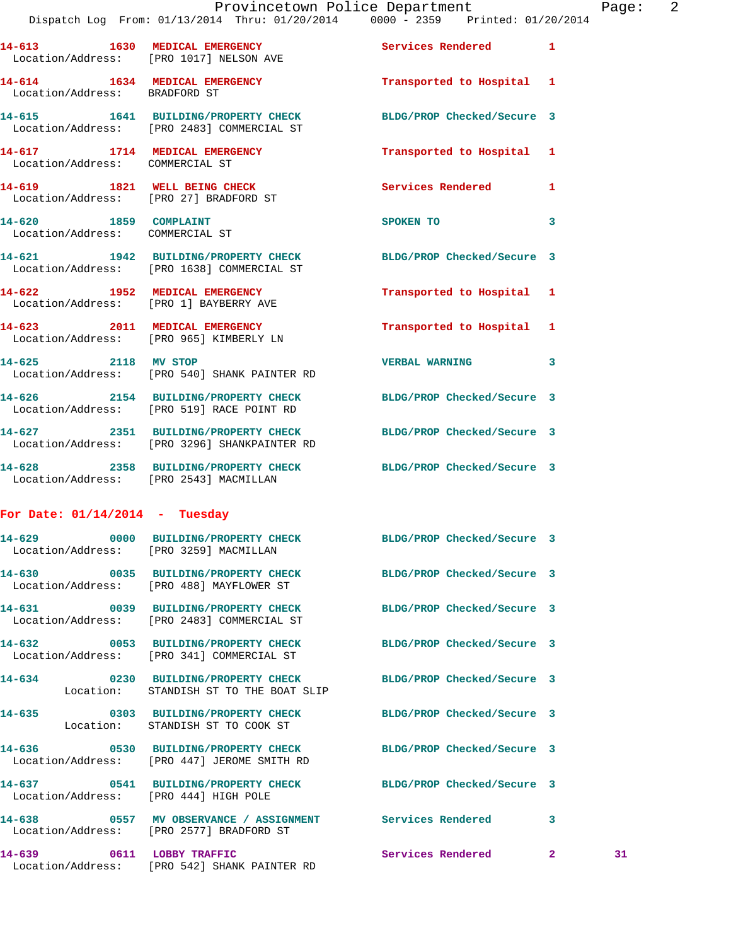|                                                          | Dispatch Log From: 01/13/2014 Thru: 01/20/2014   0000 - 2359   Printed: 01/20/2014                             | Provincetown Police Department Page: 2 |              |    |  |
|----------------------------------------------------------|----------------------------------------------------------------------------------------------------------------|----------------------------------------|--------------|----|--|
|                                                          | 14-613 1630 MEDICAL EMERGENCY Services Rendered 1<br>Location/Address: [PRO 1017] NELSON AVE                   |                                        |              |    |  |
| Location/Address: BRADFORD ST                            | 14-614 1634 MEDICAL EMERGENCY                                                                                  | Transported to Hospital 1              |              |    |  |
|                                                          | 14-615 1641 BUILDING/PROPERTY CHECK BLDG/PROP Checked/Secure 3<br>Location/Address: [PRO 2483] COMMERCIAL ST   |                                        |              |    |  |
| Location/Address: COMMERCIAL ST                          | 14-617 1714 MEDICAL EMERGENCY                                                                                  | Transported to Hospital 1              |              |    |  |
|                                                          | 14-619 1821 WELL BEING CHECK<br>Location/Address: [PRO 27] BRADFORD ST                                         | Services Rendered 1                    |              |    |  |
| 14-620 1859 COMPLAINT<br>Location/Address: COMMERCIAL ST |                                                                                                                | SPOKEN TO AND THE SPOKEN TO            | 3            |    |  |
|                                                          | 14-621 1942 BUILDING/PROPERTY CHECK BLDG/PROP Checked/Secure 3<br>Location/Address: [PRO 1638] COMMERCIAL ST   |                                        |              |    |  |
|                                                          | 14-622 1952 MEDICAL EMERGENCY<br>Location/Address: [PRO 1] BAYBERRY AVE                                        | Transported to Hospital 1              |              |    |  |
|                                                          | 14-623 2011 MEDICAL EMERGENCY<br>Location/Address: [PRO 965] KIMBERLY LN                                       | Transported to Hospital 1              |              |    |  |
|                                                          | 14-625 2118 MV STOP<br>Location/Address: [PRO 540] SHANK PAINTER RD                                            | <b>VERBAL WARNING</b>                  | 3            |    |  |
|                                                          | 14-626 2154 BUILDING/PROPERTY CHECK BLDG/PROP Checked/Secure 3<br>Location/Address: [PRO 519] RACE POINT RD    |                                        |              |    |  |
|                                                          | 14-627 2351 BUILDING/PROPERTY CHECK BLDG/PROP Checked/Secure 3<br>Location/Address: [PRO 3296] SHANKPAINTER RD |                                        |              |    |  |
| Location/Address: [PRO 2543] MACMILLAN                   | 14-628 2358 BUILDING/PROPERTY CHECK BLDG/PROP Checked/Secure 3                                                 |                                        |              |    |  |
| For Date: $01/14/2014$ - Tuesday                         |                                                                                                                |                                        |              |    |  |
| Location/Address: [PRO 3259] MACMILLAN                   | 14-629 0000 BUILDING/PROPERTY CHECK                                                                            | BLDG/PROP Checked/Secure 3             |              |    |  |
|                                                          | 14-630 0035 BUILDING/PROPERTY CHECK BLDG/PROP Checked/Secure 3<br>Location/Address: [PRO 488] MAYFLOWER ST     |                                        |              |    |  |
|                                                          | 14-631 0039 BUILDING/PROPERTY CHECK BLDG/PROP Checked/Secure 3<br>Location/Address: [PRO 2483] COMMERCIAL ST   |                                        |              |    |  |
|                                                          | 14-632 0053 BUILDING/PROPERTY CHECK BLDG/PROP Checked/Secure 3<br>Location/Address: [PRO 341] COMMERCIAL ST    |                                        |              |    |  |
| $14 - 634$                                               | 0230 BUILDING/PROPERTY CHECK<br>Location: STANDISH ST TO THE BOAT SLIP                                         | BLDG/PROP Checked/Secure 3             |              |    |  |
| $14 - 635$                                               | 0303 BUILDING/PROPERTY CHECK BLDG/PROP Checked/Secure 3<br>Location: STANDISH ST TO COOK ST                    |                                        |              |    |  |
|                                                          | 14-636 0530 BUILDING/PROPERTY CHECK BLDG/PROP Checked/Secure 3<br>Location/Address: [PRO 447] JEROME SMITH RD  |                                        |              |    |  |
| Location/Address: [PRO 444] HIGH POLE                    | 14-637 0541 BUILDING/PROPERTY CHECK BLDG/PROP Checked/Secure 3                                                 |                                        |              |    |  |
|                                                          | 14-638 6557 MV OBSERVANCE / ASSIGNMENT Services Rendered 3<br>Location/Address: [PRO 2577] BRADFORD ST         |                                        |              |    |  |
| 14-639                                                   | 0611 LOBBY TRAFFIC                                                                                             | Services Rendered                      | $\mathbf{2}$ | 31 |  |

Location/Address: [PRO 542] SHANK PAINTER RD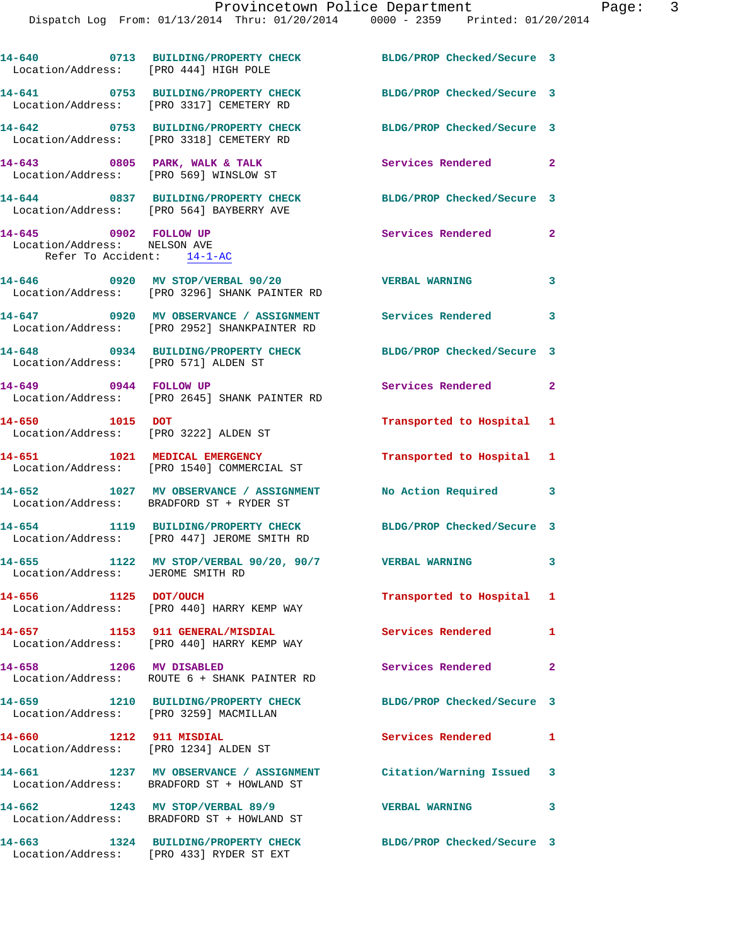| Location/Address: [PRO 444] HIGH POLE                                               | 14-640 0713 BUILDING/PROPERTY CHECK                                                                            | BLDG/PROP Checked/Secure 3                      |              |
|-------------------------------------------------------------------------------------|----------------------------------------------------------------------------------------------------------------|-------------------------------------------------|--------------|
| 14-641                                                                              | 0753 BUILDING/PROPERTY CHECK<br>Location/Address: [PRO 3317] CEMETERY RD                                       | BLDG/PROP Checked/Secure 3                      |              |
|                                                                                     | 14-642 0753 BUILDING/PROPERTY CHECK<br>Location/Address: [PRO 3318] CEMETERY RD                                | BLDG/PROP Checked/Secure 3                      |              |
|                                                                                     | 14-643 0805 PARK, WALK & TALK<br>Location/Address: [PRO 569] WINSLOW ST                                        | Services Rendered 2                             |              |
|                                                                                     | 14-644 0837 BUILDING/PROPERTY CHECK<br>Location/Address: [PRO 564] BAYBERRY AVE                                | BLDG/PROP Checked/Secure 3                      |              |
| 14-645 0902 FOLLOW UP<br>Location/Address: NELSON AVE<br>Refer To Accident: 14-1-AC |                                                                                                                | Services Rendered                               | $\mathbf{2}$ |
|                                                                                     | 14-646 0920 MV STOP/VERBAL 90/20<br>Location/Address: [PRO 3296] SHANK PAINTER RD                              | <b>VERBAL WARNING</b>                           | 3            |
|                                                                                     | 14-647 0920 MV OBSERVANCE / ASSIGNMENT<br>Location/Address: [PRO 2952] SHANKPAINTER RD                         | <b>Services Rendered</b>                        | 3            |
| Location/Address: [PRO 571] ALDEN ST                                                | 14-648 0934 BUILDING/PROPERTY CHECK                                                                            | BLDG/PROP Checked/Secure 3                      |              |
| 14-649 0944 FOLLOW UP                                                               | Location/Address: [PRO 2645] SHANK PAINTER RD                                                                  | Services Rendered<br>$\overline{\phantom{0}}$ 2 |              |
| 14-650 1015 DOT                                                                     | Location/Address: [PRO 3222] ALDEN ST                                                                          | Transported to Hospital 1                       |              |
|                                                                                     | 14-651 1021 MEDICAL EMERGENCY<br>Location/Address: [PRO 1540] COMMERCIAL ST                                    | Transported to Hospital 1                       |              |
| 14-652                                                                              | 1027 MV OBSERVANCE / ASSIGNMENT<br>Location/Address: BRADFORD ST + RYDER ST                                    | No Action Required 3                            |              |
|                                                                                     | 14-654 1119 BUILDING/PROPERTY CHECK<br>Location/Address: [PRO 447] JEROME SMITH RD                             | BLDG/PROP Checked/Secure 3                      |              |
| 14-655<br>Location/Address: JEROME SMITH RD                                         | 1122 MV STOP/VERBAL 90/20, 90/7 VERBAL WARNING                                                                 |                                                 | 3            |
| 14-656 1125 DOT/OUCH                                                                | Location/Address: [PRO 440] HARRY KEMP WAY                                                                     | Transported to Hospital 1                       |              |
| 14-657                                                                              | 1153 911 GENERAL/MISDIAL<br>Location/Address: [PRO 440] HARRY KEMP WAY                                         | Services Rendered                               | 1            |
| 14-658 1206 MV DISABLED                                                             | Location/Address: ROUTE 6 + SHANK PAINTER RD                                                                   | Services Rendered                               | $\mathbf{2}$ |
| Location/Address: [PRO 3259] MACMILLAN                                              | 14-659 1210 BUILDING/PROPERTY CHECK                                                                            | BLDG/PROP Checked/Secure 3                      |              |
| 14-660 1212 911 MISDIAL                                                             | Location/Address: [PRO 1234] ALDEN ST                                                                          | Services Rendered                               | $\mathbf{1}$ |
|                                                                                     | 14-661 1237 MV OBSERVANCE / ASSIGNMENT Citation/Warning Issued 3<br>Location/Address: BRADFORD ST + HOWLAND ST |                                                 |              |
|                                                                                     | 14-662 1243 MV STOP/VERBAL 89/9<br>Location/Address: BRADFORD ST + HOWLAND ST                                  | <b>VERBAL WARNING</b>                           | 3            |
| 14-663                                                                              | 1324 BUILDING/PROPERTY CHECK                                                                                   | BLDG/PROP Checked/Secure 3                      |              |

Location/Address: [PRO 433] RYDER ST EXT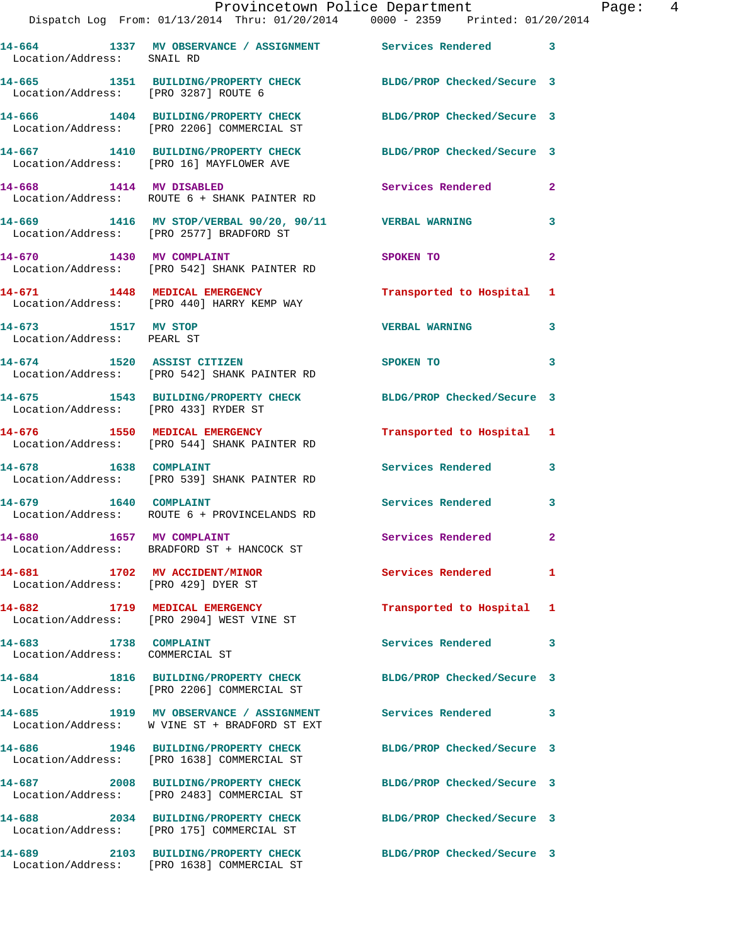|                                                                      | Provincetown Police Department<br>Dispatch Log From: 01/13/2014 Thru: 01/20/2014 0000 - 2359 Printed: 01/20/2014 |                            |              |
|----------------------------------------------------------------------|------------------------------------------------------------------------------------------------------------------|----------------------------|--------------|
|                                                                      | 14-664 1337 MV OBSERVANCE / ASSIGNMENT Services Rendered                                                         |                            | 3            |
| Location/Address: SNAIL RD                                           |                                                                                                                  |                            |              |
| Location/Address: [PRO 3287] ROUTE 6                                 | 14-665 1351 BUILDING/PROPERTY CHECK BLDG/PROP Checked/Secure 3                                                   |                            |              |
|                                                                      | 14-666 1404 BUILDING/PROPERTY CHECK<br>Location/Address: [PRO 2206] COMMERCIAL ST                                | BLDG/PROP Checked/Secure 3 |              |
|                                                                      | 14-667 1410 BUILDING/PROPERTY CHECK BLDG/PROP Checked/Secure 3<br>Location/Address: [PRO 16] MAYFLOWER AVE       |                            |              |
| 14-668 1414 MV DISABLED                                              | Location/Address: ROUTE 6 + SHANK PAINTER RD                                                                     | Services Rendered          | $\mathbf{2}$ |
|                                                                      | 14-669 1416 MV STOP/VERBAL 90/20, 90/11 VERBAL WARNING<br>Location/Address: [PRO 2577] BRADFORD ST               |                            | 3            |
|                                                                      | 14-670 1430 MV COMPLAINT<br>Location/Address: [PRO 542] SHANK PAINTER RD                                         | SPOKEN TO                  | 2            |
|                                                                      | 14-671 1448 MEDICAL EMERGENCY<br>Location/Address: [PRO 440] HARRY KEMP WAY                                      | Transported to Hospital    | 1            |
| 14-673 1517 MV STOP<br>Location/Address: PEARL ST                    |                                                                                                                  | <b>VERBAL WARNING</b>      | 3            |
|                                                                      | 14-674 1520 ASSIST CITIZEN<br>Location/Address: [PRO 542] SHANK PAINTER RD                                       | <b>SPOKEN TO</b>           | 3            |
| Location/Address: [PRO 433] RYDER ST                                 | 14-675 1543 BUILDING/PROPERTY CHECK BLDG/PROP Checked/Secure 3                                                   |                            |              |
|                                                                      | 14-676 1550 MEDICAL EMERGENCY<br>Location/Address: [PRO 544] SHANK PAINTER RD                                    | Transported to Hospital    | 1            |
| 14-678 1638 COMPLAINT                                                | Location/Address: [PRO 539] SHANK PAINTER RD                                                                     | Services Rendered          | 3            |
|                                                                      | 14-679 1640 COMPLAINT<br>Location/Address: ROUTE 6 + PROVINCELANDS RD                                            | Services Rendered          | 3            |
| 14-680 1657 MV COMPLAINT                                             | Location/Address: BRADFORD ST + HANCOCK ST                                                                       | <b>Services Rendered</b>   |              |
| 14-681 1702 MV ACCIDENT/MINOR<br>Location/Address: [PRO 429] DYER ST |                                                                                                                  | <b>Services Rendered</b>   | 1            |
| 14-682 1719 MEDICAL EMERGENCY                                        | Location/Address: [PRO 2904] WEST VINE ST                                                                        | Transported to Hospital    | 1            |
| 14-683 1738 COMPLAINT<br>Location/Address: COMMERCIAL ST             |                                                                                                                  | Services Rendered          | 3            |
|                                                                      | 14-684 1816 BUILDING/PROPERTY CHECK<br>Location/Address: [PRO 2206] COMMERCIAL ST                                | BLDG/PROP Checked/Secure 3 |              |
|                                                                      | 14-685 1919 MV OBSERVANCE / ASSIGNMENT Services Rendered<br>Location/Address: W VINE ST + BRADFORD ST EXT        |                            | 3            |
| 14-686                                                               | 1946 BUILDING/PROPERTY CHECK<br>Location/Address: [PRO 1638] COMMERCIAL ST                                       | BLDG/PROP Checked/Secure 3 |              |
|                                                                      | 14-687 2008 BUILDING/PROPERTY CHECK<br>Location/Address: [PRO 2483] COMMERCIAL ST                                | BLDG/PROP Checked/Secure 3 |              |
|                                                                      | 14-688 2034 BUILDING/PROPERTY CHECK<br>Location/Address: [PRO 175] COMMERCIAL ST                                 | BLDG/PROP Checked/Secure 3 |              |
| 14-689                                                               | 2103 BUILDING/PROPERTY CHECK BLDG/PROP Checked/Secure 3                                                          |                            |              |

Location/Address: [PRO 1638] COMMERCIAL ST

Page:  $4$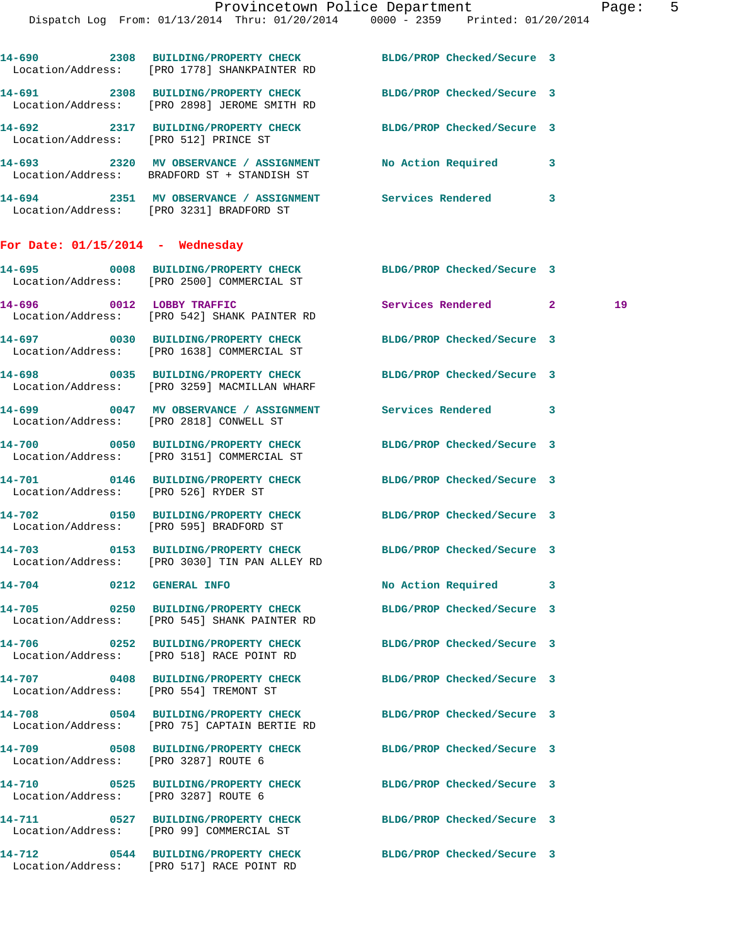|                                                         | Dispatch Log From: 01/13/2014 Thru: 01/20/2014 0000 - 2359 Printed: 01/20/2014                                 |                            |   |    |
|---------------------------------------------------------|----------------------------------------------------------------------------------------------------------------|----------------------------|---|----|
|                                                         | 14-690 2308 BUILDING/PROPERTY CHECK BLDG/PROP Checked/Secure 3<br>Location/Address: [PRO 1778] SHANKPAINTER RD |                            |   |    |
|                                                         | 14-691 2308 BUILDING/PROPERTY CHECK BLDG/PROP Checked/Secure 3<br>Location/Address: [PRO 2898] JEROME SMITH RD |                            |   |    |
|                                                         | 14-692 2317 BUILDING/PROPERTY CHECK BLDG/PROP Checked/Secure 3<br>Location/Address: [PRO 512] PRINCE ST        |                            |   |    |
|                                                         | 14-693 2320 MV OBSERVANCE / ASSIGNMENT No Action Required 3<br>Location/Address: BRADFORD ST + STANDISH ST     |                            |   |    |
|                                                         | 14-694 2351 MV OBSERVANCE / ASSIGNMENT Services Rendered 3<br>Location/Address: [PRO 3231] BRADFORD ST         |                            |   |    |
| For Date: $01/15/2014$ - Wednesday                      |                                                                                                                |                            |   |    |
|                                                         | 14-695 0008 BUILDING/PROPERTY CHECK BLDG/PROP Checked/Secure 3<br>Location/Address: [PRO 2500] COMMERCIAL ST   |                            |   |    |
|                                                         | 14-696 0012 LOBBY TRAFFIC<br>Location/Address: [PRO 542] SHANK PAINTER RD                                      | Services Rendered 2        |   | 19 |
|                                                         | 14-697 0030 BUILDING/PROPERTY CHECK BLDG/PROP Checked/Secure 3<br>Location/Address: [PRO 1638] COMMERCIAL ST   |                            |   |    |
|                                                         | 14-698 0035 BUILDING/PROPERTY CHECK BLDG/PROP Checked/Secure 3<br>Location/Address: [PRO 3259] MACMILLAN WHARF |                            |   |    |
|                                                         | 14-699 0047 MV OBSERVANCE / ASSIGNMENT Services Rendered 3<br>Location/Address: [PRO 2818] CONWELL ST          |                            |   |    |
|                                                         | 14-700 0050 BUILDING/PROPERTY CHECK<br>Location/Address: [PRO 3151] COMMERCIAL ST                              | BLDG/PROP Checked/Secure 3 |   |    |
| Location/Address: [PRO 526] RYDER ST                    | 14-701 0146 BUILDING/PROPERTY CHECK BLDG/PROP Checked/Secure 3                                                 |                            |   |    |
| Location/Address: [PRO 595] BRADFORD ST                 | 14-702 0150 BUILDING/PROPERTY CHECK                                                                            | BLDG/PROP Checked/Secure 3 |   |    |
|                                                         | 14-703 0153 BUILDING/PROPERTY CHECK<br>Location/Address: [PRO 3030] TIN PAN ALLEY RD                           | BLDG/PROP Checked/Secure 3 |   |    |
| 14-704 0212 GENERAL INFO                                |                                                                                                                | No Action Required         | 3 |    |
| <b>14-705</b>                                           | 0250 BUILDING/PROPERTY CHECK<br>Location/Address: [PRO 545] SHANK PAINTER RD                                   | BLDG/PROP Checked/Secure 3 |   |    |
| <b>14-706</b>                                           | 0252 BUILDING/PROPERTY CHECK<br>Location/Address: [PRO 518] RACE POINT RD                                      | BLDG/PROP Checked/Secure 3 |   |    |
| <b>14-707</b><br>Location/Address: [PRO 554] TREMONT ST | 0408 BUILDING/PROPERTY CHECK                                                                                   | BLDG/PROP Checked/Secure 3 |   |    |
|                                                         | 14-708 0504 BUILDING/PROPERTY CHECK<br>Location/Address: [PRO 75] CAPTAIN BERTIE RD                            | BLDG/PROP Checked/Secure 3 |   |    |

**14-709 0508 BUILDING/PROPERTY CHECK BLDG/PROP Checked/Secure 3**  Location/Address: [PRO 3287] ROUTE 6

**14-710 0525 BUILDING/PROPERTY CHECK BLDG/PROP Checked/Secure 3**  Location/Address: [PRO 3287] ROUTE 6

Location/Address: [PRO 517] RACE POINT RD

**14-711 0527 BUILDING/PROPERTY CHECK BLDG/PROP Checked/Secure 3**  Location/Address: [PRO 99] COMMERCIAL ST

**14-712 0544 BUILDING/PROPERTY CHECK BLDG/PROP Checked/Secure 3**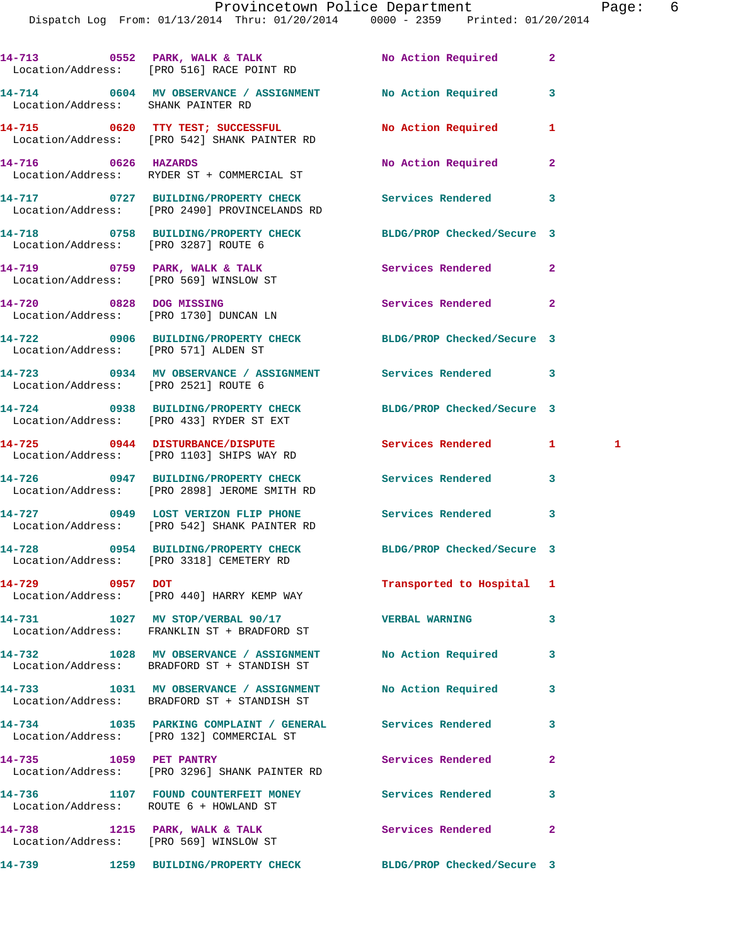|                                        | Dispatch Log From: 01/13/2014 Thru: 01/20/2014 0000 - 2359 Printed: 01/20/2014                                                | Provincetown Police Department Page: 6 |              |   |  |
|----------------------------------------|-------------------------------------------------------------------------------------------------------------------------------|----------------------------------------|--------------|---|--|
|                                        |                                                                                                                               |                                        |              |   |  |
|                                        | 14-713  0552  PARK, WALK & TALK                No Action Required              2<br>Location/Address: [PRO 516] RACE POINT RD |                                        |              |   |  |
| Location/Address: SHANK PAINTER RD     | 14-714 0604 MV OBSERVANCE / ASSIGNMENT No Action Required 3                                                                   |                                        |              |   |  |
|                                        | 14-715 0620 TTY TEST; SUCCESSFUL<br>Location/Address: [PRO 542] SHANK PAINTER RD                                              | No Action Required 1                   |              |   |  |
|                                        | 14-716 0626 HAZARDS<br>Location/Address: RYDER ST + COMMERCIAL ST                                                             | No Action Required 2                   |              |   |  |
|                                        | 14-717 0727 BUILDING/PROPERTY CHECK Services Rendered 3<br>Location/Address: [PRO 2490] PROVINCELANDS RD                      |                                        |              |   |  |
| Location/Address: [PRO 3287] ROUTE 6   | 14-718 0758 BUILDING/PROPERTY CHECK BLDG/PROP Checked/Secure 3                                                                |                                        |              |   |  |
|                                        | 14-719 0759 PARK, WALK & TALK 1988 Services Rendered 2<br>Location/Address: [PRO 569] WINSLOW ST                              |                                        |              |   |  |
| Location/Address: [PRO 1730] DUNCAN LN | 14-720 0828 DOG MISSING                                                                                                       | Services Rendered 2                    |              |   |  |
| Location/Address: [PRO 571] ALDEN ST   | 14-722 0906 BUILDING/PROPERTY CHECK BLDG/PROP Checked/Secure 3                                                                |                                        |              |   |  |
|                                        | 14-723 0934 MV OBSERVANCE / ASSIGNMENT Services Rendered 3<br>Location/Address: [PRO 2521] ROUTE 6                            |                                        |              |   |  |
|                                        | 14-724 0938 BUILDING/PROPERTY CHECK BLDG/PROP Checked/Secure 3<br>Location/Address: [PRO 433] RYDER ST EXT                    |                                        |              |   |  |
|                                        | 14-725 0944 DISTURBANCE/DISPUTE<br>Location/Address: [PRO 1103] SHIPS WAY RD                                                  | Services Rendered 1                    |              | 1 |  |
|                                        | 14-726 0947 BUILDING/PROPERTY CHECK Services Rendered<br>Location/Address: [PRO 2898] JEROME SMITH RD                         |                                        | $\mathbf{3}$ |   |  |
|                                        | 14-727 0949 LOST VERIZON FLIP PHONE Services Rendered 3<br>Location/Address: [PRO 542] SHANK PAINTER RD                       |                                        |              |   |  |
|                                        | 14-728 0954 BUILDING/PROPERTY CHECK BLDG/PROP Checked/Secure 3<br>Location/Address: [PRO 3318] CEMETERY RD                    |                                        |              |   |  |
| 14-729 0957 DOT                        | Location/Address: [PRO 440] HARRY KEMP WAY                                                                                    | Transported to Hospital 1              |              |   |  |
|                                        | 14-731 1027 MV STOP/VERBAL 90/17<br>Location/Address: FRANKLIN ST + BRADFORD ST                                               | <b>VERBAL WARNING</b>                  | 3            |   |  |
|                                        | 14-732 1028 MV OBSERVANCE / ASSIGNMENT<br>Location/Address: BRADFORD ST + STANDISH ST                                         | No Action Required                     | 3            |   |  |
|                                        | 14-733 1031 MV OBSERVANCE / ASSIGNMENT<br>Location/Address: BRADFORD ST + STANDISH ST                                         | No Action Required                     | 3            |   |  |
|                                        | 14-734 1035 PARKING COMPLAINT / GENERAL Services Rendered<br>Location/Address: [PRO 132] COMMERCIAL ST                        |                                        | 3            |   |  |
| 14-735 1059 PET PANTRY                 | Location/Address: [PRO 3296] SHANK PAINTER RD                                                                                 | Services Rendered                      | $\mathbf{2}$ |   |  |
| Location/Address: ROUTE 6 + HOWLAND ST | 14-736 1107 FOUND COUNTERFEIT MONEY Services Rendered                                                                         |                                        | 3            |   |  |

**14-738 1215 PARK, WALK & TALK Services Rendered 2**  Location/Address: [PRO 569] WINSLOW ST

**14-739 1259 BUILDING/PROPERTY CHECK BLDG/PROP Checked/Secure 3**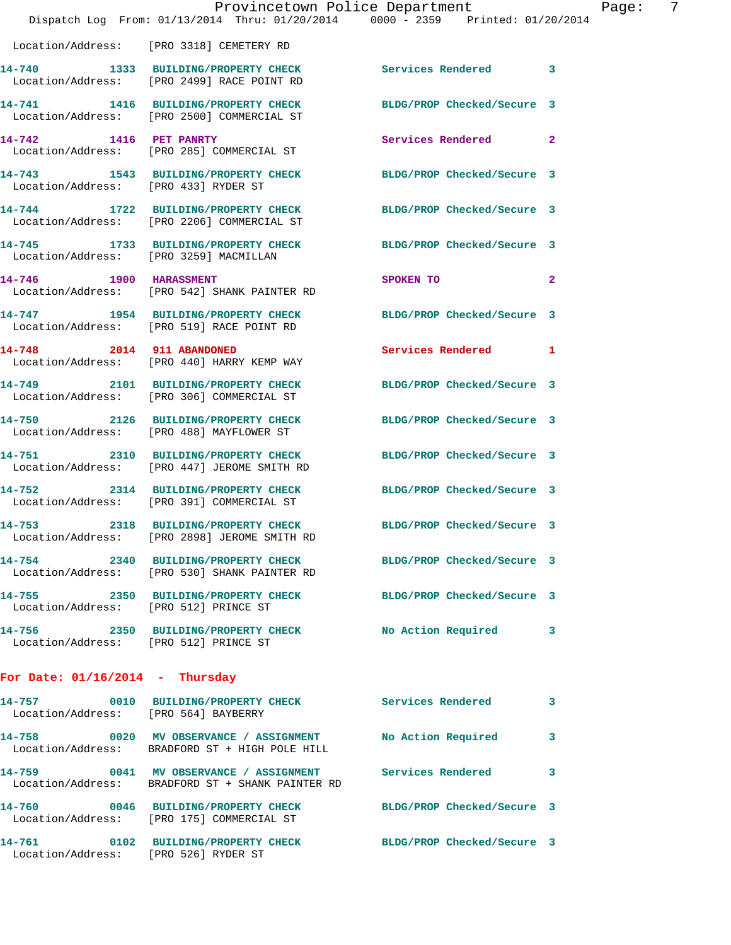|                                   | Provincetown Police Department<br>Dispatch Log From: 01/13/2014 Thru: 01/20/2014 0000 - 2359 Printed: 01/20/2014 |                            |                |
|-----------------------------------|------------------------------------------------------------------------------------------------------------------|----------------------------|----------------|
|                                   | Location/Address: [PRO 3318] CEMETERY RD                                                                         |                            |                |
|                                   | 14-740 1333 BUILDING/PROPERTY CHECK Services Rendered<br>Location/Address: [PRO 2499] RACE POINT RD              |                            | 3              |
|                                   | 14-741 1416 BUILDING/PROPERTY CHECK<br>Location/Address: [PRO 2500] COMMERCIAL ST                                | BLDG/PROP Checked/Secure 3 |                |
|                                   | 14-742 1416 PET PANRTY<br>Location/Address: [PRO 285] COMMERCIAL ST                                              | Services Rendered          | $\mathbf{2}$   |
|                                   | 14-743 1543 BUILDING/PROPERTY CHECK<br>Location/Address: [PRO 433] RYDER ST                                      | BLDG/PROP Checked/Secure 3 |                |
|                                   | 14-744 1722 BUILDING/PROPERTY CHECK<br>Location/Address: [PRO 2206] COMMERCIAL ST                                | BLDG/PROP Checked/Secure 3 |                |
|                                   | 14-745 1733 BUILDING/PROPERTY CHECK<br>Location/Address: [PRO 3259] MACMILLAN                                    | BLDG/PROP Checked/Secure 3 |                |
| 14-746 1900 HARASSMENT            | Location/Address: [PRO 542] SHANK PAINTER RD                                                                     | SPOKEN TO                  | $\overline{a}$ |
|                                   | 14-747 1954 BUILDING/PROPERTY CHECK<br>Location/Address: [PRO 519] RACE POINT RD                                 | BLDG/PROP Checked/Secure 3 |                |
| 14-748 2014 911 ABANDONED         | Location/Address: [PRO 440] HARRY KEMP WAY                                                                       | Services Rendered          | 1              |
|                                   | 14-749 2101 BUILDING/PROPERTY CHECK<br>Location/Address: [PRO 306] COMMERCIAL ST                                 | BLDG/PROP Checked/Secure 3 |                |
|                                   | 14-750 2126 BUILDING/PROPERTY CHECK<br>Location/Address: [PRO 488] MAYFLOWER ST                                  | BLDG/PROP Checked/Secure 3 |                |
|                                   | 14-751 2310 BUILDING/PROPERTY CHECK<br>Location/Address: [PRO 447] JEROME SMITH RD                               | BLDG/PROP Checked/Secure 3 |                |
|                                   | 14-752 2314 BUILDING/PROPERTY CHECK<br>Location/Address: [PRO 391] COMMERCIAL ST                                 | BLDG/PROP Checked/Secure 3 |                |
| 14-753<br>2318                    | BUILDING/PROPERTY CHECK<br>Location/Address: [PRO 2898] JEROME SMITH RD                                          | BLDG/PROP Checked/Secure 3 |                |
|                                   | 14-754 2340 BUILDING/PROPERTY CHECK<br>Location/Address: [PRO 530] SHANK PAINTER RD                              | BLDG/PROP Checked/Secure 3 |                |
|                                   | 14-755 2350 BUILDING/PROPERTY CHECK<br>Location/Address: [PRO 512] PRINCE ST                                     | BLDG/PROP Checked/Secure 3 |                |
|                                   | 14-756 2350 BUILDING/PROPERTY CHECK<br>Location/Address: [PRO 512] PRINCE ST                                     | No Action Required         | 3              |
| For Date: $01/16/2014$ - Thursday |                                                                                                                  |                            |                |
|                                   | 14-757 0010 BUILDING/PROPERTY CHECK<br>Location/Address: [PRO 564] BAYBERRY                                      | <b>Services Rendered</b>   | 3              |
|                                   | 14-758 0020 MV OBSERVANCE / ASSIGNMENT<br>Location/Address: BRADFORD ST + HIGH POLE HILL                         | No Action Required         | 3              |
|                                   | 14-759 0041 MV OBSERVANCE / ASSIGNMENT Services Rendered<br>Location/Address: BRADFORD ST + SHANK PAINTER RD     |                            | 3              |
|                                   | 14-760 0046 BUILDING/PROPERTY CHECK<br>Location/Address: [PRO 175] COMMERCIAL ST                                 | BLDG/PROP Checked/Secure 3 |                |
| 14-761                            | 0102 BUILDING/PROPERTY CHECK                                                                                     | BLDG/PROP Checked/Secure 3 |                |

Location/Address: [PRO 526] RYDER ST

Page: 7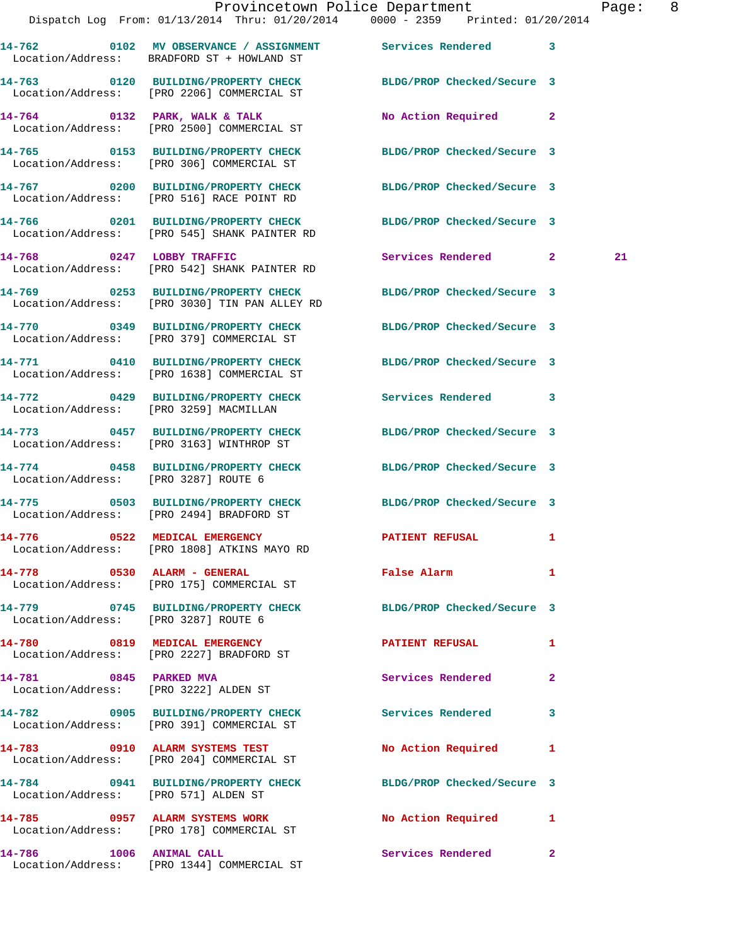|                                      |                                                                                                    | Provincetown Police Department<br>Dispatch Log From: 01/13/2014 Thru: 01/20/2014 0000 - 2359 Printed: 01/20/2014 | Page: 8 |
|--------------------------------------|----------------------------------------------------------------------------------------------------|------------------------------------------------------------------------------------------------------------------|---------|
|                                      | Location/Address: BRADFORD ST + HOWLAND ST                                                         | 14-762 0102 MV OBSERVANCE / ASSIGNMENT Services Rendered 3                                                       |         |
|                                      | Location/Address: [PRO 2206] COMMERCIAL ST                                                         | 14-763 0120 BUILDING/PROPERTY CHECK BLDG/PROP Checked/Secure 3                                                   |         |
|                                      | 14-764 0132 PARK, WALK & TALK<br>Location/Address: [PRO 2500] COMMERCIAL ST                        | No Action Required 2                                                                                             |         |
|                                      | Location/Address: [PRO 306] COMMERCIAL ST                                                          | 14-765 0153 BUILDING/PROPERTY CHECK BLDG/PROP Checked/Secure 3                                                   |         |
|                                      | Location/Address: [PRO 516] RACE POINT RD                                                          | 14-767 0200 BUILDING/PROPERTY CHECK BLDG/PROP Checked/Secure 3                                                   |         |
|                                      | Location/Address: [PRO 545] SHANK PAINTER RD                                                       | 14-766 0201 BUILDING/PROPERTY CHECK BLDG/PROP Checked/Secure 3                                                   |         |
|                                      | 14-768 0247 LOBBY TRAFFIC<br>Location/Address: [PRO 542] SHANK PAINTER RD                          | Services Rendered 2                                                                                              | 21      |
|                                      | 14-769 0253 BUILDING/PROPERTY CHECK<br>Location/Address: [PRO 3030] TIN PAN ALLEY RD               | BLDG/PROP Checked/Secure 3                                                                                       |         |
|                                      | Location/Address: [PRO 379] COMMERCIAL ST                                                          | 14-770 0349 BUILDING/PROPERTY CHECK BLDG/PROP Checked/Secure 3                                                   |         |
|                                      | 14-771 0410 BUILDING/PROPERTY CHECK<br>Location/Address: [PRO 1638] COMMERCIAL ST                  | BLDG/PROP Checked/Secure 3                                                                                       |         |
|                                      | Location/Address: [PRO 3259] MACMILLAN                                                             | 14-772 0429 BUILDING/PROPERTY CHECK Services Rendered 3                                                          |         |
|                                      | 14-773 0457 BUILDING/PROPERTY CHECK<br>Location/Address: [PRO 3163] WINTHROP ST                    | BLDG/PROP Checked/Secure 3                                                                                       |         |
| Location/Address: [PRO 3287] ROUTE 6 |                                                                                                    | 14-774 0458 BUILDING/PROPERTY CHECK BLDG/PROP Checked/Secure 3                                                   |         |
|                                      | Location/Address: [PRO 2494] BRADFORD ST                                                           | 14-775 0503 BUILDING/PROPERTY CHECK BLDG/PROP Checked/Secure 3                                                   |         |
|                                      | 14-776 0522 MEDICAL EMERGENCY<br>Location/Address: [PRO 1808] ATKINS MAYO RD                       | PATIENT REFUSAL 1                                                                                                |         |
|                                      | 14-778 0530 ALARM - GENERAL<br>Location/Address: [PRO 175] COMMERCIAL ST                           | False Alarm<br>$\mathbf{1}$                                                                                      |         |
| Location/Address: [PRO 3287] ROUTE 6 | 14-779 0745 BUILDING/PROPERTY CHECK                                                                | BLDG/PROP Checked/Secure 3                                                                                       |         |
|                                      | 14-780 0819 MEDICAL EMERGENCY<br>Location/Address: [PRO 2227] BRADFORD ST                          | <b>PATIENT REFUSAL</b><br>1                                                                                      |         |
| 14-781 0845 PARKED MVA               | Location/Address: [PRO 3222] ALDEN ST                                                              | Services Rendered<br>$\mathbf{2}$                                                                                |         |
|                                      | 14-782 0905 BUILDING/PROPERTY CHECK Services Rendered<br>Location/Address: [PRO 391] COMMERCIAL ST | 3                                                                                                                |         |
|                                      | 14-783 0910 ALARM SYSTEMS TEST<br>Location/Address: [PRO 204] COMMERCIAL ST                        | No Action Required 1                                                                                             |         |
| Location/Address: [PRO 571] ALDEN ST |                                                                                                    | 14-784 0941 BUILDING/PROPERTY CHECK BLDG/PROP Checked/Secure 3                                                   |         |
|                                      | 14-785 0957 ALARM SYSTEMS WORK<br>Location/Address: [PRO 178] COMMERCIAL ST                        | No Action Required 1                                                                                             |         |
|                                      |                                                                                                    | Services Rendered 2                                                                                              |         |

Location/Address: [PRO 1344] COMMERCIAL ST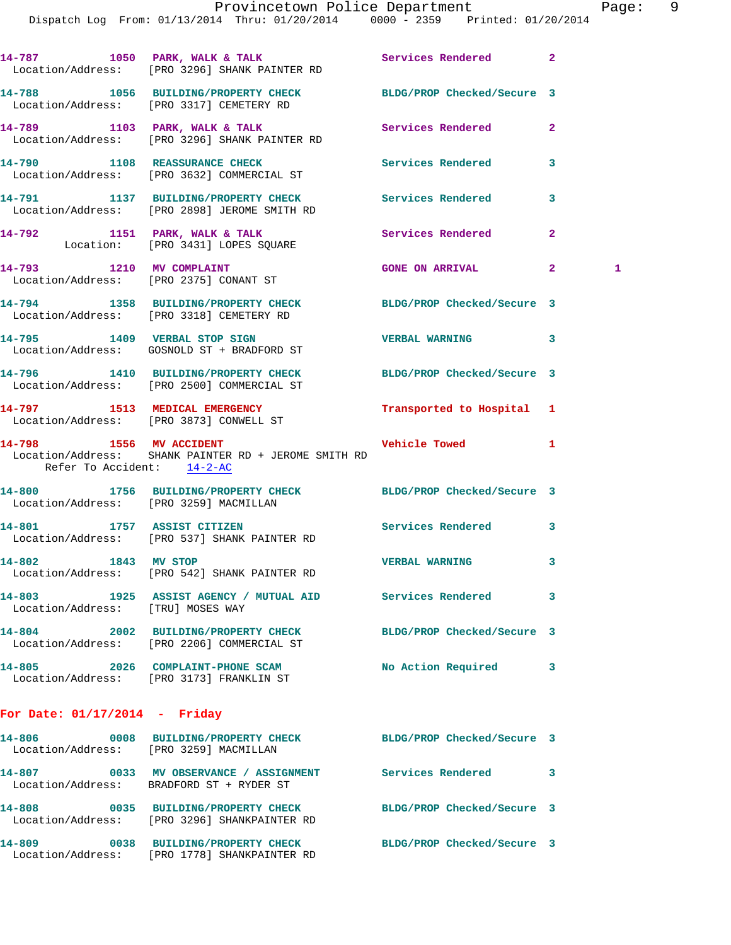Dispatch Log From: 01/13/2014 Thru: 01/20/2014 0000 - 2359 Printed: 01/20/2014

| 14-787<br>Location/Address: | 1050 | PARK, WALK & TALK<br>[PRO 3296] SHANK PAINTER RD  | Services Rendered          |  |
|-----------------------------|------|---------------------------------------------------|----------------------------|--|
| 14-788<br>Location/Address: | 1056 | BUILDING/PROPERTY CHECK<br>[PRO 3317] CEMETERY RD | BLDG/PROP Checked/Secure 3 |  |
| 14-789                      | 1103 | PARK, WALK & TALK                                 | Services Rendered          |  |

 Location/Address: [PRO 3296] SHANK PAINTER RD **14-790 1108 REASSURANCE CHECK Services Rendered 3**  Location/Address: [PRO 3632] COMMERCIAL ST **14-791 1137 BUILDING/PROPERTY CHECK Services Rendered 3** 

 Location/Address: [PRO 2898] JEROME SMITH RD 14-792 1151 PARK, WALK & TALK **Services Rendered** 2 Location: [PRO 3431] LOPES SQUARE

**14-793** 1210 MV COMPLAINT **14-793** GONE ON ARRIVAL 2 1 Location/Address: [PRO 2375] CONANT ST

**14-794 1358 BUILDING/PROPERTY CHECK BLDG/PROP Checked/Secure 3**  Location/Address: [PRO 3318] CEMETERY RD **14-795 1409 VERBAL STOP SIGN VERBAL WARNING 3** 

 Location/Address: GOSNOLD ST + BRADFORD ST **14-796 1410 BUILDING/PROPERTY CHECK BLDG/PROP Checked/Secure 3**  Location/Address: [PRO 2500] COMMERCIAL ST

**14-797 1513 MEDICAL EMERGENCY Transported to Hospital 1**  Location/Address: [PRO 3873] CONWELL ST

**14-798 1556 MV ACCIDENT Vehicle Towed 1**  Location/Address: SHANK PAINTER RD + JEROME SMITH RD Refer To Accident: 14-2-AC

**14-800 1756 BUILDING/PROPERTY CHECK BLDG/PROP Checked/Secure 3**  Location/Address: [PRO 3259] MACMILLAN **14-801 1757 ASSIST CITIZEN Services Rendered 3**  Location/Address: [PRO 537] SHANK PAINTER RD **14-802 1843 MV STOP VERBAL WARNING 3**  Location/Address: [PRO 542] SHANK PAINTER RD **14-803 1925 ASSIST AGENCY / MUTUAL AID Services Rendered 3** 

 Location/Address: [TRU] MOSES WAY **14-804 2002 BUILDING/PROPERTY CHECK BLDG/PROP Checked/Secure 3**  Location/Address: [PRO 2206] COMMERCIAL ST **14-805 2026 COMPLAINT-PHONE SCAM No Action Required 3**  Location/Address: [PRO 3173] FRANKLIN ST

## **For Date: 01/17/2014 - Friday**

| 14-806<br>0008<br>Location/Address: | <b>BUILDING/PROPERTY CHECK</b><br>[PRO 3259] MACMILLAN       | BLDG/PROP Checked/Secure 3 |  |
|-------------------------------------|--------------------------------------------------------------|----------------------------|--|
| 14-807<br>0033<br>Location/Address: | MV OBSERVANCE / ASSIGNMENT<br>BRADFORD ST + RYDER ST         | Services Rendered          |  |
| 14-808<br>0035<br>Location/Address: | <b>BUILDING/PROPERTY CHECK</b><br>[PRO 3296] SHANKPAINTER RD | BLDG/PROP Checked/Secure 3 |  |
| 14-809<br>0038<br>Location/Address: | <b>BUILDING/PROPERTY CHECK</b><br>[PRO 1778] SHANKPAINTER RD | BLDG/PROP Checked/Secure 3 |  |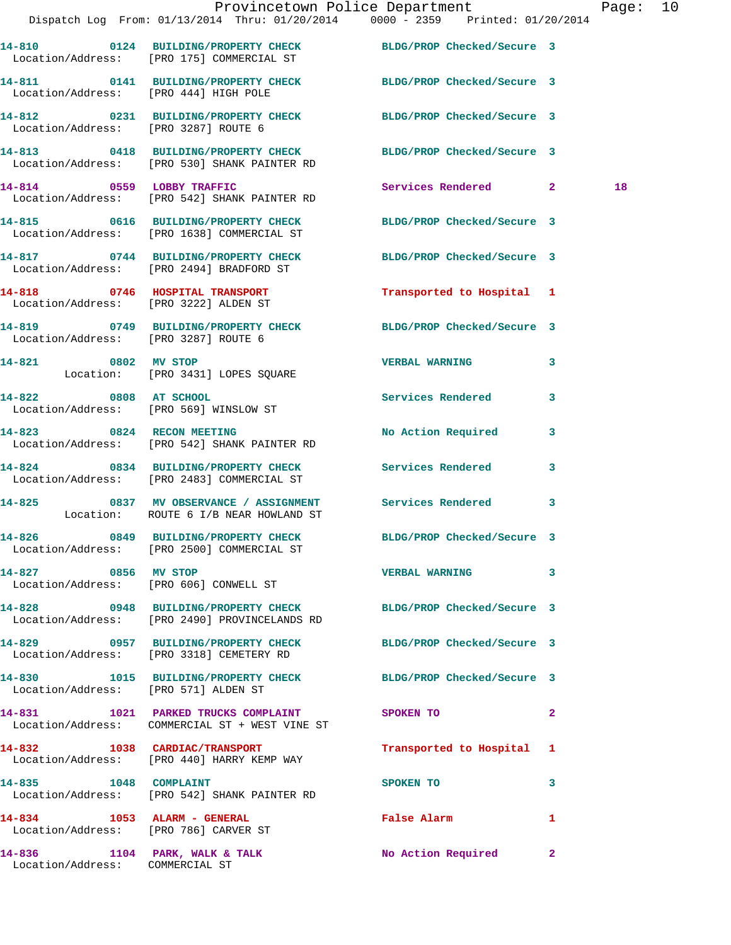|                                       | Provincetown Police Department The Page: 10<br>Dispatch Log From: 01/13/2014 Thru: 01/20/2014 0000 - 2359 Printed: 01/20/2014 |                             |              |
|---------------------------------------|-------------------------------------------------------------------------------------------------------------------------------|-----------------------------|--------------|
|                                       | 14-810 0124 BUILDING/PROPERTY CHECK BLDG/PROP Checked/Secure 3<br>Location/Address: [PRO 175] COMMERCIAL ST                   |                             |              |
| Location/Address: [PRO 444] HIGH POLE | 14-811 0141 BUILDING/PROPERTY CHECK BLDG/PROP Checked/Secure 3                                                                |                             |              |
|                                       | 14-812 0231 BUILDING/PROPERTY CHECK BLDG/PROP Checked/Secure 3<br>Location/Address: [PRO 3287] ROUTE 6                        |                             |              |
|                                       | 14-813 0418 BUILDING/PROPERTY CHECK BLDG/PROP Checked/Secure 3<br>Location/Address: [PRO 530] SHANK PAINTER RD                |                             |              |
|                                       | 14-814 0559 LOBBY TRAFFIC<br>Location/Address: [PRO 542] SHANK PAINTER RD                                                     | Services Rendered 2         | 18           |
|                                       | 14-815 0616 BUILDING/PROPERTY CHECK BLDG/PROP Checked/Secure 3<br>Location/Address: [PRO 1638] COMMERCIAL ST                  |                             |              |
|                                       | 14-817 0744 BUILDING/PROPERTY CHECK BLDG/PROP Checked/Secure 3<br>Location/Address: [PRO 2494] BRADFORD ST                    |                             |              |
| Location/Address: [PRO 3222] ALDEN ST | 14-818 0746 HOSPITAL TRANSPORT                                                                                                | Transported to Hospital 1   |              |
| Location/Address: [PRO 3287] ROUTE 6  | 14-819 0749 BUILDING/PROPERTY CHECK BLDG/PROP Checked/Secure 3                                                                |                             |              |
|                                       | 14-821 0802 MV STOP<br>Location: [PRO 3431] LOPES SQUARE                                                                      | <b>VERBAL WARNING</b>       | 3            |
| 14-822 0808 AT SCHOOL                 | Location/Address: [PRO 569] WINSLOW ST                                                                                        | Services Rendered 3         |              |
|                                       | 14-823 0824 RECON MEETING<br>Location/Address: [PRO 542] SHANK PAINTER RD                                                     | No Action Required 3        |              |
|                                       | 14-824 0834 BUILDING/PROPERTY CHECK Services Rendered 3<br>Location/Address: [PRO 2483] COMMERCIAL ST                         |                             |              |
|                                       | 14-825 0837 MV OBSERVANCE / ASSIGNMENT Services Rendered 3<br>Location: ROUTE 6 I/B NEAR HOWLAND ST                           |                             |              |
|                                       | 14-826 0849 BUILDING/PROPERTY CHECK BLDG/PROP Checked/Secure 3<br>Location/Address: [PRO 2500] COMMERCIAL ST                  |                             |              |
| 14-827 0856 MV STOP                   | Location/Address: [PRO 606] CONWELL ST                                                                                        | <b>VERBAL WARNING</b>       | $\mathbf{3}$ |
|                                       | 14-828 0948 BUILDING/PROPERTY CHECK BLDG/PROP Checked/Secure 3<br>Location/Address: [PRO 2490] PROVINCELANDS RD               |                             |              |
|                                       | 14-829 0957 BUILDING/PROPERTY CHECK BLDG/PROP Checked/Secure 3<br>Location/Address: [PRO 3318] CEMETERY RD                    |                             |              |
| Location/Address: [PRO 571] ALDEN ST  | 14-830 1015 BUILDING/PROPERTY CHECK BLDG/PROP Checked/Secure 3                                                                |                             |              |
|                                       | 14-831 1021 PARKED TRUCKS COMPLAINT<br>Location/Address: COMMERCIAL ST + WEST VINE ST                                         | SPOKEN TO NAME OF SPOKEN TO | $\mathbf{2}$ |
|                                       | 14-832 1038 CARDIAC/TRANSPORT<br>Location/Address: [PRO 440] HARRY KEMP WAY                                                   | Transported to Hospital 1   |              |
|                                       | 14-835 1048 COMPLAINT<br>Location/Address: [PRO 542] SHANK PAINTER RD                                                         | SPOKEN TO                   | 3            |
| 14-834 1053 ALARM - GENERAL           | Location/Address: [PRO 786] CARVER ST                                                                                         | False Alarm                 | 1            |
| Location/Address: COMMERCIAL ST       | 14-836 1104 PARK, WALK & TALK                                                                                                 | No Action Required 2        |              |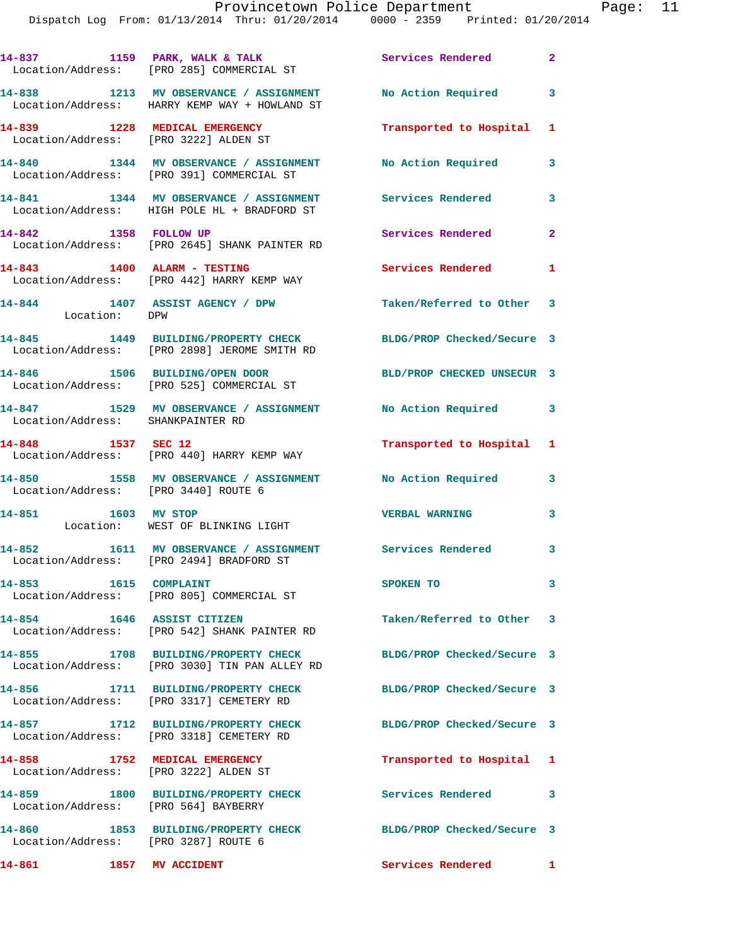|                                                                        | 14-837 1159 PARK, WALK & TALK<br>Location/Address: [PRO 285] COMMERCIAL ST                                     | Services Rendered          | $\mathbf{2}$            |
|------------------------------------------------------------------------|----------------------------------------------------------------------------------------------------------------|----------------------------|-------------------------|
|                                                                        | 14-838 1213 MV OBSERVANCE / ASSIGNMENT<br>Location/Address: HARRY KEMP WAY + HOWLAND ST                        | No Action Required 3       |                         |
| 14-839 1228 MEDICAL EMERGENCY<br>Location/Address: [PRO 3222] ALDEN ST |                                                                                                                | Transported to Hospital 1  |                         |
|                                                                        | 14-840 1344 MV OBSERVANCE / ASSIGNMENT<br>Location/Address: [PRO 391] COMMERCIAL ST                            | No Action Required         | 3                       |
|                                                                        | 14-841 1344 MV OBSERVANCE / ASSIGNMENT<br>Location/Address: HIGH POLE HL + BRADFORD ST                         | <b>Services Rendered</b>   | 3                       |
|                                                                        | 14-842 1358 FOLLOW UP<br>Location/Address: [PRO 2645] SHANK PAINTER RD                                         | Services Rendered          | $\mathbf{2}$            |
|                                                                        | 14-843 1400 ALARM - TESTING<br>Location/Address: [PRO 442] HARRY KEMP WAY                                      | <b>Services Rendered</b> 1 |                         |
| Location: DPW                                                          | 14-844 1407 ASSIST AGENCY / DPW                                                                                | Taken/Referred to Other 3  |                         |
|                                                                        | 14-845 1449 BUILDING/PROPERTY CHECK BLDG/PROP Checked/Secure 3<br>Location/Address: [PRO 2898] JEROME SMITH RD |                            |                         |
|                                                                        | 14-846 1506 BUILDING/OPEN DOOR<br>Location/Address: [PRO 525] COMMERCIAL ST                                    | BLD/PROP CHECKED UNSECUR 3 |                         |
| Location/Address: SHANKPAINTER RD                                      | 14-847 1529 MV OBSERVANCE / ASSIGNMENT                                                                         | No Action Required 3       |                         |
| 14-848 1537 SEC 12                                                     | Location/Address: [PRO 440] HARRY KEMP WAY                                                                     | Transported to Hospital 1  |                         |
| Location/Address: [PRO 3440] ROUTE 6                                   | 14-850 1558 MV OBSERVANCE / ASSIGNMENT No Action Required                                                      |                            | $\overline{\mathbf{3}}$ |
|                                                                        | 14-851 1603 MV STOP<br>Location: WEST OF BLINKING LIGHT                                                        | <b>VERBAL WARNING</b>      | 3                       |
|                                                                        | 14-852 1611 MV OBSERVANCE / ASSIGNMENT Services Rendered 3<br>Location/Address: [PRO 2494] BRADFORD ST         |                            |                         |
| 14-853 1615 COMPLAINT                                                  | Location/Address: [PRO 805] COMMERCIAL ST                                                                      | SPOKEN TO                  | 3                       |
| 14-854 1646 ASSIST CITIZEN                                             | Location/Address: [PRO 542] SHANK PAINTER RD                                                                   | Taken/Referred to Other 3  |                         |
|                                                                        | 14-855 1708 BUILDING/PROPERTY CHECK<br>Location/Address: [PRO 3030] TIN PAN ALLEY RD                           | BLDG/PROP Checked/Secure 3 |                         |
| 14-856                                                                 | 1711 BUILDING/PROPERTY CHECK<br>Location/Address: [PRO 3317] CEMETERY RD                                       | BLDG/PROP Checked/Secure 3 |                         |
|                                                                        | 14-857 1712 BUILDING/PROPERTY CHECK<br>Location/Address: [PRO 3318] CEMETERY RD                                | BLDG/PROP Checked/Secure 3 |                         |
| 14-858 1752 MEDICAL EMERGENCY<br>Location/Address: [PRO 3222] ALDEN ST |                                                                                                                | Transported to Hospital 1  |                         |
| Location/Address: [PRO 564] BAYBERRY                                   | 14-859 1800 BUILDING/PROPERTY CHECK                                                                            | Services Rendered          | 3                       |
| Location/Address: [PRO 3287] ROUTE 6                                   | 14-860 1853 BUILDING/PROPERTY CHECK                                                                            | BLDG/PROP Checked/Secure 3 |                         |
| 14-861                                                                 | <b>1857 MV ACCIDENT</b>                                                                                        | Services Rendered          | $\mathbf{1}$            |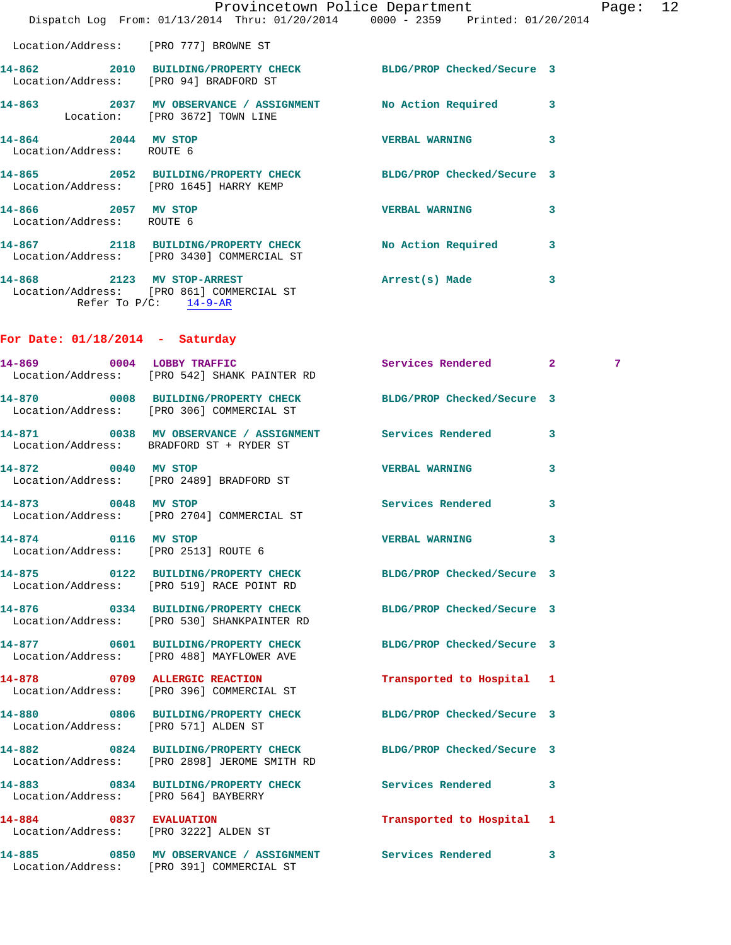|                                                             |                                                                                                       | Provincetown Police Department The Rage: 12<br>Dispatch Log From: 01/13/2014 Thru: 01/20/2014 0000 - 2359 Printed: 01/20/2014 |   |
|-------------------------------------------------------------|-------------------------------------------------------------------------------------------------------|-------------------------------------------------------------------------------------------------------------------------------|---|
| Location/Address: [PRO 777] BROWNE ST                       |                                                                                                       |                                                                                                                               |   |
|                                                             | Location/Address: [PRO 94] BRADFORD ST                                                                | 14-862 2010 BUILDING/PROPERTY CHECK BLDG/PROP Checked/Secure 3                                                                |   |
|                                                             | Location: [PRO 3672] TOWN LINE                                                                        | 14-863 2037 MV OBSERVANCE / ASSIGNMENT No Action Required 3                                                                   |   |
| 14-864 2044 MV STOP<br>Location/Address: ROUTE 6            |                                                                                                       | VERBAL WARNING 3                                                                                                              |   |
|                                                             |                                                                                                       | 14-865 2052 BUILDING/PROPERTY CHECK BLDG/PROP Checked/Secure 3<br>Location/Address: [PRO 1645] HARRY KEMP                     |   |
| 14-866 2057 MV STOP<br>Location/Address: ROUTE 6            |                                                                                                       | VERBAL WARNING 3                                                                                                              |   |
|                                                             |                                                                                                       | 14-867   2118   BUILDING/PROPERTY CHECK   No Action Required   3<br>Location/Address: [PRO 3430] COMMERCIAL ST                |   |
| Refer To $P/C$ : 14-9-AR                                    | 14-868 2123 MV STOP-ARREST 2008 Arrest(s) Made<br>Location/Address: [PRO 861] COMMERCIAL ST           | 3                                                                                                                             |   |
| For Date: $01/18/2014$ - Saturday                           |                                                                                                       |                                                                                                                               |   |
|                                                             | 14-869 0004 LOBBY TRAFFIC<br>Location/Address: [PRO 542] SHANK PAINTER RD                             | Services Rendered 2                                                                                                           | 7 |
|                                                             | Location/Address: [PRO 306] COMMERCIAL ST                                                             | 14-870 0008 BUILDING/PROPERTY CHECK BLDG/PROP Checked/Secure 3                                                                |   |
|                                                             | 14-871 0038 MV OBSERVANCE / ASSIGNMENT Services Rendered<br>Location/Address: BRADFORD ST + RYDER ST  | 3                                                                                                                             |   |
| 14-872 0040 MV STOP                                         | Location/Address: [PRO 2489] BRADFORD ST                                                              | <b>VERBAL WARNING</b><br>3                                                                                                    |   |
|                                                             | 14-873 0048 MV STOP<br>Location/Address: [PRO 2704] COMMERCIAL ST                                     | Services Rendered 3                                                                                                           |   |
| 14-874 0116 MV STOP<br>Location/Address: [PRO 2513] ROUTE 6 |                                                                                                       | <b>VERBAL WARNING</b>                                                                                                         |   |
|                                                             | Location/Address: [PRO 519] RACE POINT RD                                                             | 14-875 0122 BUILDING/PROPERTY CHECK BLDG/PROP Checked/Secure 3                                                                |   |
|                                                             | Location/Address: [PRO 530] SHANKPAINTER RD                                                           | 14-876 0334 BUILDING/PROPERTY CHECK BLDG/PROP Checked/Secure 3                                                                |   |
|                                                             | 14-877 0601 BUILDING/PROPERTY CHECK<br>Location/Address: [PRO 488] MAYFLOWER AVE                      | BLDG/PROP Checked/Secure 3                                                                                                    |   |
|                                                             | 14-878 0709 ALLERGIC REACTION<br>Location/Address: [PRO 396] COMMERCIAL ST                            | Transported to Hospital 1                                                                                                     |   |
| Location/Address: [PRO 571] ALDEN ST                        |                                                                                                       | 14-880 0806 BUILDING/PROPERTY CHECK BLDG/PROP Checked/Secure 3                                                                |   |
|                                                             | Location/Address: [PRO 2898] JEROME SMITH RD                                                          | 14-882 0824 BUILDING/PROPERTY CHECK BLDG/PROP Checked/Secure 3                                                                |   |
| Location/Address: [PRO 564] BAYBERRY                        | 14-883 0834 BUILDING/PROPERTY CHECK Services Rendered                                                 | 3                                                                                                                             |   |
|                                                             | 14-884 0837 EVALUATION<br>Location/Address: [PRO 3222] ALDEN ST                                       | Transported to Hospital 1                                                                                                     |   |
|                                                             | 14-885 0850 MV OBSERVANCE / ASSIGNMENT Services Rendered<br>Location/Address: [PRO 391] COMMERCIAL ST | 3                                                                                                                             |   |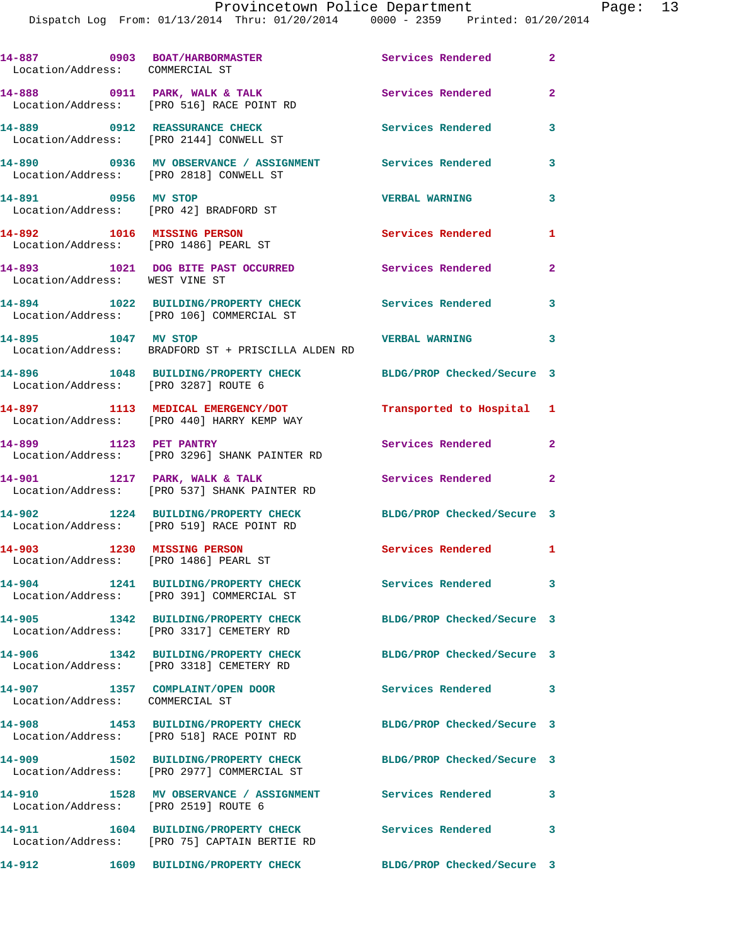| 14-887 0903 BOAT/HARBORMASTER<br>Location/Address: COMMERCIAL ST    |                                                                                     | Services Rendered          | $\mathbf{2}$             |
|---------------------------------------------------------------------|-------------------------------------------------------------------------------------|----------------------------|--------------------------|
|                                                                     | 14-888 0911 PARK, WALK & TALK<br>Location/Address: [PRO 516] RACE POINT RD          | Services Rendered          | $\mathbf{2}$             |
|                                                                     | 14-889 0912 REASSURANCE CHECK<br>Location/Address: [PRO 2144] CONWELL ST            | <b>Services Rendered</b>   | 3                        |
| Location/Address: [PRO 2818] CONWELL ST                             | 14-890 0936 MV OBSERVANCE / ASSIGNMENT Services Rendered                            |                            | 3                        |
| 14-891 0956 MV STOP<br>Location/Address: [PRO 42] BRADFORD ST       |                                                                                     | <b>VERBAL WARNING</b>      | $\mathbf{3}$             |
| 14-892 1016 MISSING PERSON<br>Location/Address: [PRO 1486] PEARL ST |                                                                                     | Services Rendered          | 1                        |
| Location/Address: WEST VINE ST                                      | 14-893 1021 DOG BITE PAST OCCURRED                                                  | Services Rendered          | $\sim$ 2                 |
|                                                                     | 14-894 1022 BUILDING/PROPERTY CHECK<br>Location/Address: [PRO 106] COMMERCIAL ST    | Services Rendered          | 3                        |
| 14-895 1047 MV STOP                                                 | Location/Address: BRADFORD ST + PRISCILLA ALDEN RD                                  | <b>VERBAL WARNING</b>      | $\overline{\phantom{a}}$ |
| Location/Address: [PRO 3287] ROUTE 6                                | 14-896 1048 BUILDING/PROPERTY CHECK BLDG/PROP Checked/Secure 3                      |                            |                          |
|                                                                     | 14-897 1113 MEDICAL EMERGENCY/DOT<br>Location/Address: [PRO 440] HARRY KEMP WAY     | Transported to Hospital 1  |                          |
| 14-899 1123 PET PANTRY                                              | Location/Address: [PRO 3296] SHANK PAINTER RD                                       | Services Rendered 2        |                          |
| 14-901 1217 PARK, WALK & TALK                                       | Location/Address: [PRO 537] SHANK PAINTER RD                                        | Services Rendered 2        |                          |
|                                                                     | 14-902 1224 BUILDING/PROPERTY CHECK<br>Location/Address: [PRO 519] RACE POINT RD    | BLDG/PROP Checked/Secure 3 |                          |
| 14-903 1230 MISSING PERSON<br>Location/Address: [PRO 1486] PEARL ST |                                                                                     | Services Rendered 1        |                          |
|                                                                     | 14-904 1241 BUILDING/PROPERTY CHECK<br>Location/Address: [PRO 391] COMMERCIAL ST    | Services Rendered          | $\overline{\mathbf{3}}$  |
| 14-905                                                              | 1342 BUILDING/PROPERTY CHECK<br>Location/Address: [PRO 3317] CEMETERY RD            | BLDG/PROP Checked/Secure 3 |                          |
|                                                                     | 14-906 1342 BUILDING/PROPERTY CHECK<br>Location/Address: [PRO 3318] CEMETERY RD     | BLDG/PROP Checked/Secure 3 |                          |
| 14-907<br>Location/Address: COMMERCIAL ST                           | 1357 COMPLAINT/OPEN DOOR                                                            | Services Rendered 3        |                          |
|                                                                     | 14-908 1453 BUILDING/PROPERTY CHECK<br>Location/Address: [PRO 518] RACE POINT RD    | BLDG/PROP Checked/Secure 3 |                          |
|                                                                     | 14-909 1502 BUILDING/PROPERTY CHECK<br>Location/Address: [PRO 2977] COMMERCIAL ST   | BLDG/PROP Checked/Secure 3 |                          |
| Location/Address: [PRO 2519] ROUTE 6                                | 14-910 1528 MV OBSERVANCE / ASSIGNMENT                                              | <b>Services Rendered</b>   | 3                        |
|                                                                     | 14-911 1604 BUILDING/PROPERTY CHECK<br>Location/Address: [PRO 75] CAPTAIN BERTIE RD | Services Rendered          | 3                        |
| 14-912                                                              | 1609 BUILDING/PROPERTY CHECK                                                        | BLDG/PROP Checked/Secure 3 |                          |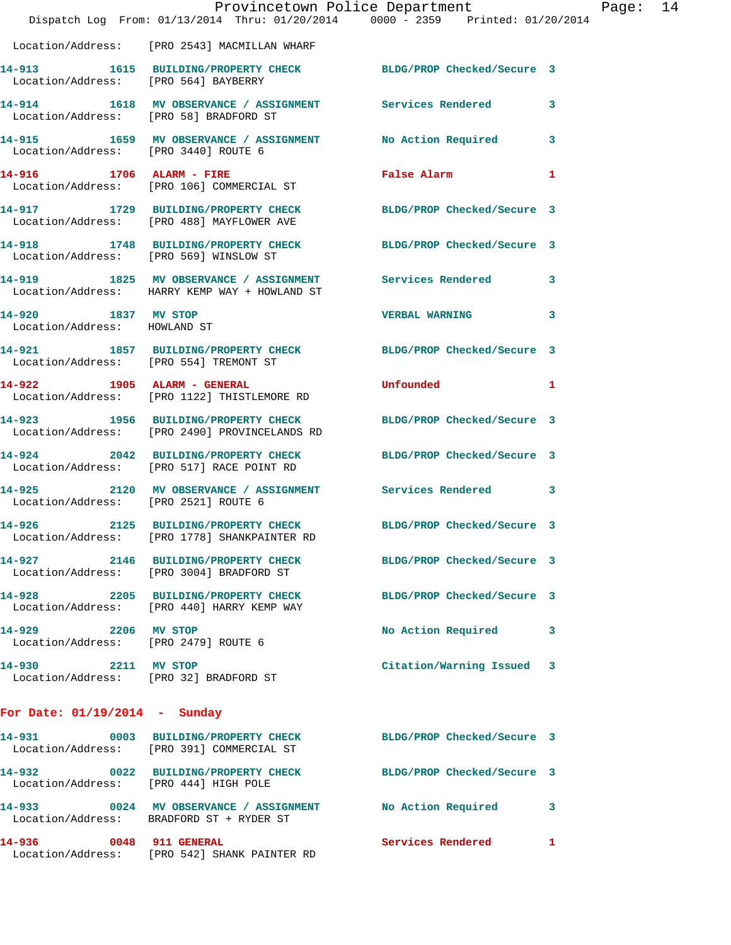|                                                               |                                                                                      | Provincetown Police Department                                                 |              |
|---------------------------------------------------------------|--------------------------------------------------------------------------------------|--------------------------------------------------------------------------------|--------------|
|                                                               |                                                                                      | Dispatch Log From: 01/13/2014 Thru: 01/20/2014 0000 - 2359 Printed: 01/20/2014 |              |
|                                                               | Location/Address: [PRO 2543] MACMILLAN WHARF                                         |                                                                                |              |
| Location/Address: [PRO 564] BAYBERRY                          |                                                                                      | 14-913 1615 BUILDING/PROPERTY CHECK BLDG/PROP Checked/Secure 3                 |              |
| Location/Address: [PRO 58] BRADFORD ST                        |                                                                                      | 14-914 1618 MV OBSERVANCE / ASSIGNMENT Services Rendered                       | 3            |
| Location/Address: [PRO 3440] ROUTE 6                          | 14-915 1659 MV OBSERVANCE / ASSIGNMENT                                               | <b>No Action Required</b>                                                      | 3            |
|                                                               | 14-916 1706 ALARM - FIRE<br>Location/Address: [PRO 106] COMMERCIAL ST                | False Alarm                                                                    | 1            |
|                                                               | 14-917 1729 BUILDING/PROPERTY CHECK<br>Location/Address: [PRO 488] MAYFLOWER AVE     | BLDG/PROP Checked/Secure 3                                                     |              |
|                                                               | 14-918 1748 BUILDING/PROPERTY CHECK<br>Location/Address: [PRO 569] WINSLOW ST        | BLDG/PROP Checked/Secure 3                                                     |              |
|                                                               | Location/Address: HARRY KEMP WAY + HOWLAND ST                                        | 14-919 1825 MV OBSERVANCE / ASSIGNMENT Services Rendered                       | 3            |
| 14-920 1837 MV STOP<br>Location/Address: HOWLAND ST           |                                                                                      | <b>VERBAL WARNING</b>                                                          | 3            |
| Location/Address: [PRO 554] TREMONT ST                        | 14-921 1857 BUILDING/PROPERTY CHECK                                                  | BLDG/PROP Checked/Secure 3                                                     |              |
|                                                               | 14-922 1905 ALARM - GENERAL<br>Location/Address: [PRO 1122] THISTLEMORE RD           | Unfounded                                                                      | 1            |
|                                                               | 14-923 1956 BUILDING/PROPERTY CHECK<br>Location/Address: [PRO 2490] PROVINCELANDS RD | BLDG/PROP Checked/Secure 3                                                     |              |
|                                                               | Location/Address: [PRO 517] RACE POINT RD                                            | 14-924 2042 BUILDING/PROPERTY CHECK BLDG/PROP Checked/Secure 3                 |              |
| Location/Address: [PRO 2521] ROUTE 6                          |                                                                                      | 14-925 2120 MV OBSERVANCE / ASSIGNMENT Services Rendered                       | 3            |
| 14-926                                                        | Location/Address: [PRO 1778] SHANKPAINTER RD                                         | 2125 BUILDING/PROPERTY CHECK BLDG/PROP Checked/Secure 3                        |              |
|                                                               | Location/Address: [PRO 3004] BRADFORD ST                                             | 14-927 2146 BUILDING/PROPERTY CHECK BLDG/PROP Checked/Secure 3                 |              |
|                                                               | 14-928 2205 BUILDING/PROPERTY CHECK<br>Location/Address: [PRO 440] HARRY KEMP WAY    | BLDG/PROP Checked/Secure 3                                                     |              |
| 14-929 2206 MV STOP<br>Location/Address: [PRO 2479] ROUTE 6   |                                                                                      | No Action Required                                                             | 3            |
| 14-930 2211 MV STOP<br>Location/Address: [PRO 32] BRADFORD ST |                                                                                      | Citation/Warning Issued                                                        | 3            |
| For Date: $01/19/2014$ - Sunday                               |                                                                                      |                                                                                |              |
|                                                               | 14-931 0003 BUILDING/PROPERTY CHECK<br>Location/Address: [PRO 391] COMMERCIAL ST     | BLDG/PROP Checked/Secure 3                                                     |              |
| Location/Address: [PRO 444] HIGH POLE                         | 14-932 0022 BUILDING/PROPERTY CHECK                                                  | BLDG/PROP Checked/Secure 3                                                     |              |
|                                                               | 14-933 0024 MV OBSERVANCE / ASSIGNMENT<br>Location/Address: BRADFORD ST + RYDER ST   | No Action Required                                                             | 3            |
| 14-936<br>0048 911 GENERAL                                    |                                                                                      | <b>Services Rendered</b>                                                       | $\mathbf{1}$ |

Location/Address: [PRO 542] SHANK PAINTER RD

Page: 14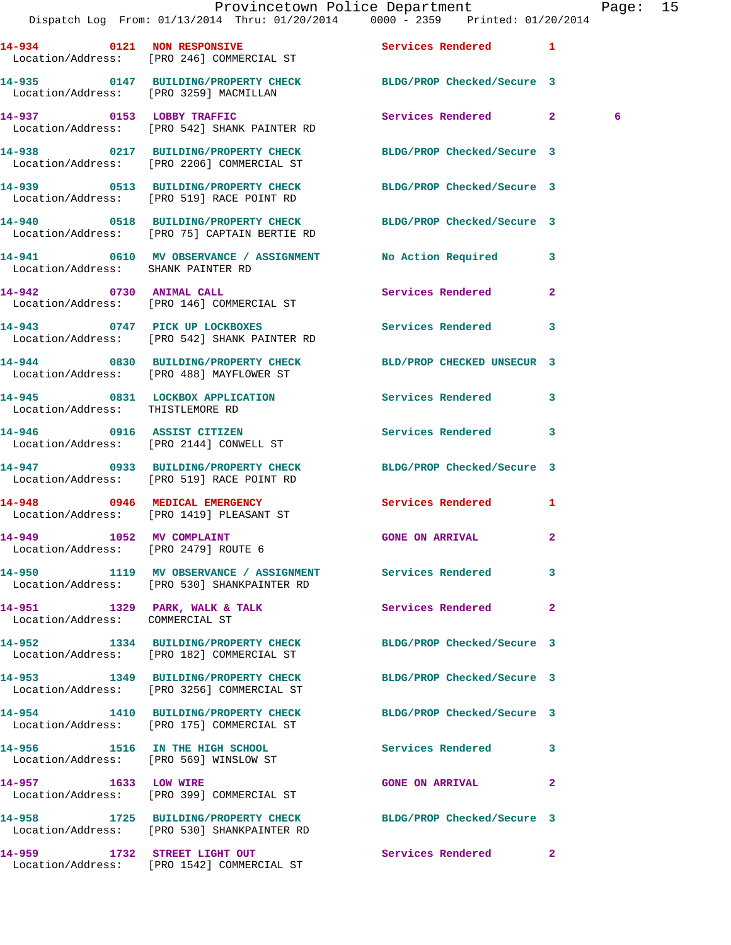|                                                                  | Dispatch Log From: 01/13/2014 Thru: 01/20/2014 0000 - 2359 Printed: 01/20/2014                                 | Provincetown Police Department | Page: 15       |
|------------------------------------------------------------------|----------------------------------------------------------------------------------------------------------------|--------------------------------|----------------|
|                                                                  | 14-934 0121 NON RESPONSIVE<br>Location/Address: [PRO 246] COMMERCIAL ST                                        | Services Rendered 1            |                |
|                                                                  | 14-935 0147 BUILDING/PROPERTY CHECK BLDG/PROP Checked/Secure 3<br>Location/Address: [PRO 3259] MACMILLAN       |                                |                |
|                                                                  |                                                                                                                | Services Rendered 2            | -6             |
|                                                                  | 14-938 0217 BUILDING/PROPERTY CHECK BLDG/PROP Checked/Secure 3<br>Location/Address: [PRO 2206] COMMERCIAL ST   |                                |                |
|                                                                  | 14-939 0513 BUILDING/PROPERTY CHECK BLDG/PROP Checked/Secure 3<br>Location/Address: [PRO 519] RACE POINT RD    |                                |                |
|                                                                  | 14-940 0518 BUILDING/PROPERTY CHECK BLDG/PROP Checked/Secure 3<br>Location/Address: [PRO 75] CAPTAIN BERTIE RD |                                |                |
| Location/Address: SHANK PAINTER RD                               | 14-941 0610 MV OBSERVANCE / ASSIGNMENT No Action Required 3                                                    |                                |                |
|                                                                  | 14-942 0730 ANIMAL CALL<br>Location/Address: [PRO 146] COMMERCIAL ST                                           | Services Rendered              | $\overline{2}$ |
|                                                                  | 14-943 0747 PICK UP LOCKBOXES Services Rendered 3<br>Location/Address: [PRO 542] SHANK PAINTER RD              |                                |                |
|                                                                  | 14-944 0830 BUILDING/PROPERTY CHECK BLD/PROP CHECKED UNSECUR 3<br>Location/Address: [PRO 488] MAYFLOWER ST     |                                |                |
| Location/Address: THISTLEMORE RD                                 | 14-945 0831 LOCKBOX APPLICATION Services Rendered 3                                                            |                                |                |
|                                                                  | 14-946 0916 ASSIST CITIZEN<br>Location/Address: [PRO 2144] CONWELL ST                                          | Services Rendered 3            |                |
|                                                                  | 14-947 0933 BUILDING/PROPERTY CHECK BLDG/PROP Checked/Secure 3<br>Location/Address: [PRO 519] RACE POINT RD    |                                |                |
|                                                                  | 14-948 0946 MEDICAL EMERGENCY<br>Location/Address: [PRO 1419] PLEASANT ST                                      | Services Rendered 1            |                |
| 14-949 1052 MV COMPLAINT<br>Location/Address: [PRO 2479] ROUTE 6 |                                                                                                                | <b>GONE ON ARRIVAL</b>         |                |
|                                                                  | 14-950 1119 MV OBSERVANCE / ASSIGNMENT Services Rendered 3<br>Location/Address: [PRO 530] SHANKPAINTER RD      |                                |                |
| Location/Address: COMMERCIAL ST                                  | 14-951 1329 PARK, WALK & TALK                                                                                  | <b>Services Rendered</b> 2     |                |
|                                                                  | 14-952 1334 BUILDING/PROPERTY CHECK<br>Location/Address: [PRO 182] COMMERCIAL ST                               | BLDG/PROP Checked/Secure 3     |                |
|                                                                  | 14-953 1349 BUILDING/PROPERTY CHECK<br>Location/Address: [PRO 3256] COMMERCIAL ST                              | BLDG/PROP Checked/Secure 3     |                |
|                                                                  | 14-954 1410 BUILDING/PROPERTY CHECK<br>Location/Address: [PRO 175] COMMERCIAL ST                               | BLDG/PROP Checked/Secure 3     |                |
|                                                                  | 14-956 1516 IN THE HIGH SCHOOL<br>Location/Address: [PRO 569] WINSLOW ST                                       | Services Rendered 3            |                |
| 14-957 1633 LOW WIRE                                             | Location/Address: [PRO 399] COMMERCIAL ST                                                                      | <b>GONE ON ARRIVAL</b>         | -2             |
|                                                                  | 14-958 1725 BUILDING/PROPERTY CHECK BLDG/PROP Checked/Secure 3<br>Location/Address: [PRO 530] SHANKPAINTER RD  |                                |                |
|                                                                  | 14-959 1732 STREET LIGHT OUT                                                                                   | Services Rendered 2            |                |

Location/Address: [PRO 1542] COMMERCIAL ST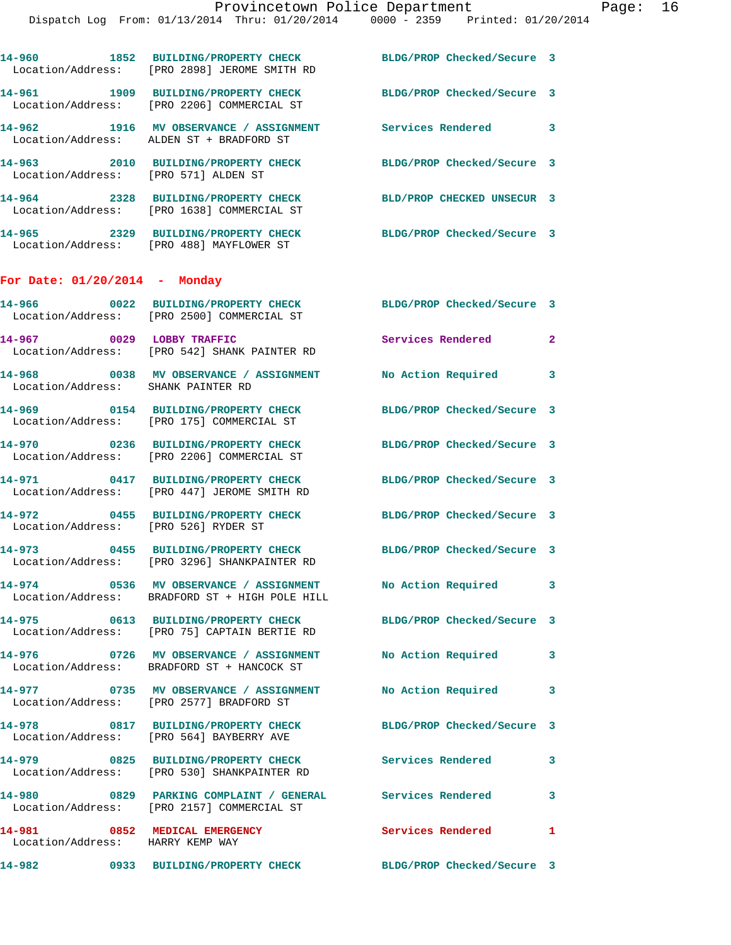|                                                | 14-960 1852 BUILDING/PROPERTY CHECK<br>Location/Address: [PRO 2898] JEROME SMITH RD                            | BLDG/PROP Checked/Secure 3 |              |
|------------------------------------------------|----------------------------------------------------------------------------------------------------------------|----------------------------|--------------|
|                                                | 14-961 1909 BUILDING/PROPERTY CHECK<br>Location/Address: [PRO 2206] COMMERCIAL ST                              | BLDG/PROP Checked/Secure 3 |              |
|                                                | 14-962 1916 MV OBSERVANCE / ASSIGNMENT<br>Location/Address: ALDEN ST + BRADFORD ST                             | Services Rendered 3        |              |
|                                                | 14-963 2010 BUILDING/PROPERTY CHECK<br>Location/Address: [PRO 571] ALDEN ST                                    | BLDG/PROP Checked/Secure 3 |              |
|                                                | 14-964 2328 BUILDING/PROPERTY CHECK<br>Location/Address: [PRO 1638] COMMERCIAL ST                              | BLD/PROP CHECKED UNSECUR 3 |              |
|                                                | 14-965 2329 BUILDING/PROPERTY CHECK<br>Location/Address: [PRO 488] MAYFLOWER ST                                | BLDG/PROP Checked/Secure 3 |              |
| For Date: $01/20/2014$ - Monday                |                                                                                                                |                            |              |
|                                                | 14-966 0022 BUILDING/PROPERTY CHECK BLDG/PROP Checked/Secure 3<br>Location/Address: [PRO 2500] COMMERCIAL ST   |                            |              |
| 14-967 0029 LOBBY TRAFFIC                      | Location/Address: [PRO 542] SHANK PAINTER RD                                                                   | <b>Services Rendered</b>   | $\mathbf{2}$ |
| Location/Address: SHANK PAINTER RD             | 14-968 0038 MV OBSERVANCE / ASSIGNMENT No Action Required 3                                                    |                            |              |
|                                                | 14-969 0154 BUILDING/PROPERTY CHECK<br>Location/Address: [PRO 175] COMMERCIAL ST                               | BLDG/PROP Checked/Secure 3 |              |
| <b>14-970</b>                                  | 0236 BUILDING/PROPERTY CHECK<br>Location/Address: [PRO 2206] COMMERCIAL ST                                     | BLDG/PROP Checked/Secure 3 |              |
|                                                | 14-971 0417 BUILDING/PROPERTY CHECK<br>Location/Address: [PRO 447] JEROME SMITH RD                             | BLDG/PROP Checked/Secure 3 |              |
| 14-972<br>Location/Address: [PRO 526] RYDER ST | 0455 BUILDING/PROPERTY CHECK BLDG/PROP Checked/Secure 3                                                        |                            |              |
|                                                | 14-973 0455 BUILDING/PROPERTY CHECK<br>Location/Address: [PRO 3296] SHANKPAINTER RD                            | BLDG/PROP Checked/Secure 3 |              |
|                                                | 14-974 0536 MV OBSERVANCE / ASSIGNMENT No Action Required 3<br>Location/Address: BRADFORD ST + HIGH POLE HILL  |                            |              |
|                                                | 14-975 0613 BUILDING/PROPERTY CHECK BLDG/PROP Checked/Secure 3<br>Location/Address: [PRO 75] CAPTAIN BERTIE RD |                            |              |
|                                                | 14-976 0726 MV OBSERVANCE / ASSIGNMENT<br>Location/Address: BRADFORD ST + HANCOCK ST                           | No Action Required         | 3            |
|                                                | 14-977 0735 MV OBSERVANCE / ASSIGNMENT No Action Required<br>Location/Address: [PRO 2577] BRADFORD ST          |                            | 3            |
|                                                | 14-978 0817 BUILDING/PROPERTY CHECK<br>Location/Address: [PRO 564] BAYBERRY AVE                                | BLDG/PROP Checked/Secure 3 |              |
|                                                | 14-979 0825 BUILDING/PROPERTY CHECK<br>Location/Address: [PRO 530] SHANKPAINTER RD                             | <b>Services Rendered</b>   | $\sim$ 3     |
| 14-980                                         | 0829 PARKING COMPLAINT / GENERAL Services Rendered 3<br>Location/Address: [PRO 2157] COMMERCIAL ST             |                            |              |
| Location/Address: HARRY KEMP WAY               | 14-981 0852 MEDICAL EMERGENCY                                                                                  | <b>Services Rendered</b> 1 |              |
| 14-982                                         | 0933 BUILDING/PROPERTY CHECK BLDG/PROP Checked/Secure 3                                                        |                            |              |